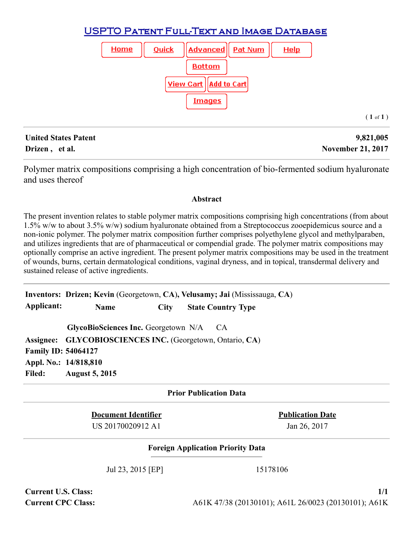# **USPTO PATENT FULL-TEXT AND IMAGE DATABASE**



## **United States Patent 9,821,005 Drizen , et al.** November 21, 2017

( **1** of **1** )

Polymer matrix compositions comprising a high concentration of bio-fermented sodium hyaluronate and uses thereof

#### **Abstract**

The present invention relates to stable polymer matrix compositions comprising high concentrations (from about 1.5% w/w to about 3.5% w/w) sodium hyaluronate obtained from a Streptococcus zooepidemicus source and a non-ionic polymer. The polymer matrix composition further comprises polyethylene glycol and methylparaben, and utilizes ingredients that are of pharmaceutical or compendial grade. The polymer matrix compositions may optionally comprise an active ingredient. The present polymer matrix compositions may be used in the treatment of wounds, burns, certain dermatological conditions, vaginal dryness, and in topical, transdermal delivery and sustained release of active ingredients.

**Inventors: Drizen; Kevin** (Georgetown, **CA**)**, Velusamy; Jai** (Mississauga, **CA**) **Applicant: Name City State Country Type**

**GlycoBioSciences Inc.** Georgetown N/A CA **Assignee: GLYCOBIOSCIENCES INC.** (Georgetown, Ontario, **CA**) **Family ID: 54064127 Appl. No.: 14/818,810 Filed: August 5, 2015**

## **Prior Publication Data**

**Document Identifier Publication Date** US 20170020912 A1 Jan 26, 2017

## **Foreign Application Priority Data**

Jul 23, 2015 [EP] 15178106

**Current U.S. Class: 1/1**

**Current CPC Class:** A61K 47/38 (20130101); A61L 26/0023 (20130101); A61K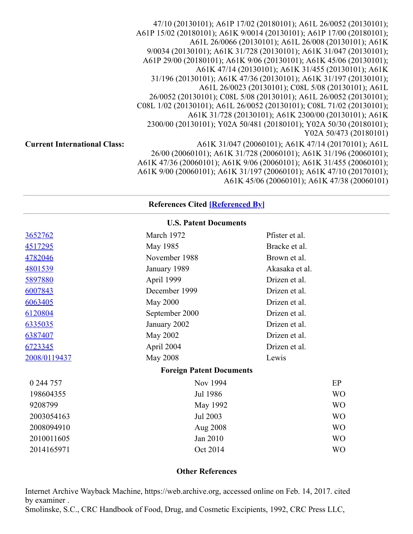47/10 (20130101); A61P 17/02 (20180101); A61L 26/0052 (20130101); A61P 15/02 (20180101); A61K 9/0014 (20130101); A61P 17/00 (20180101); A61L 26/0066 (20130101); A61L 26/008 (20130101); A61K 9/0034 (20130101); A61K 31/728 (20130101); A61K 31/047 (20130101); A61P 29/00 (20180101); A61K 9/06 (20130101); A61K 45/06 (20130101); A61K 47/14 (20130101); A61K 31/455 (20130101); A61K 31/196 (20130101); A61K 47/36 (20130101); A61K 31/197 (20130101); A61L 26/0023 (20130101); C08L 5/08 (20130101); A61L 26/0052 (20130101); C08L 5/08 (20130101); A61L 26/0052 (20130101); C08L 1/02 (20130101); A61L 26/0052 (20130101); C08L 71/02 (20130101); A61K 31/728 (20130101); A61K 2300/00 (20130101); A61K 2300/00 (20130101); Y02A 50/481 (20180101); Y02A 50/30 (20180101); Y02A 50/473 (20180101) **Current International Class:** A61K 31/047 (20060101); A61K 47/14 (20170101); A61L 26/00 (20060101); A61K 31/728 (20060101); A61K 31/196 (20060101); A61K 47/36 (20060101); A61K 9/06 (20060101); A61K 31/455 (20060101); A61K 9/00 (20060101); A61K 31/197 (20060101); A61K 47/10 (20170101); A61K 45/06 (20060101); A61K 47/38 (20060101)

#### **References Cited [Referenced By]**

|                | <b>U.S. Patent Documents</b>    |                |
|----------------|---------------------------------|----------------|
| <u>3652762</u> | March 1972                      | Pfister et al. |
| <u>4517295</u> | May 1985                        | Bracke et al.  |
| <u>4782046</u> | November 1988                   | Brown et al.   |
| 4801539        | January 1989                    | Akasaka et al. |
| 5897880        | April 1999                      | Drizen et al.  |
| 6007843        | December 1999                   | Drizen et al.  |
| 6063405        | <b>May 2000</b>                 | Drizen et al.  |
| 6120804        | September 2000                  | Drizen et al.  |
| <u>6335035</u> | January 2002                    | Drizen et al.  |
| 6387407        | May 2002                        | Drizen et al.  |
| <u>6723345</u> | April 2004                      | Drizen et al.  |
| 2008/0119437   | <b>May 2008</b>                 | Lewis          |
|                | <b>Foreign Patent Documents</b> |                |
| 0 244 757      | Nov 1994                        | EP             |
| 198604355      | Jul 1986                        | <b>WO</b>      |
| 9208799        | May 1992                        | <b>WO</b>      |
| 2003054163     | Jul 2003                        | <b>WO</b>      |
| 2008094910     | Aug 2008                        | <b>WO</b>      |
| 2010011605     | Jan 2010                        | <b>WO</b>      |
|                |                                 |                |

#### **Other References**

Internet Archive Wayback Machine, https://web.archive.org, accessed online on Feb. 14, 2017. cited by examiner .

2014165971 Oct 2014 WO

Smolinske, S.C., CRC Handbook of Food, Drug, and Cosmetic Excipients, 1992, CRC Press LLC,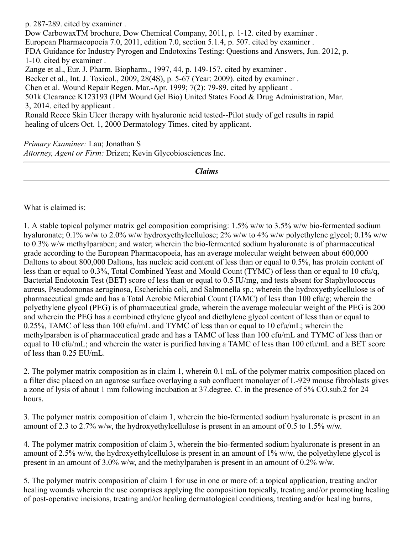p. 287-289. cited by examiner . Dow CarbowaxTM brochure, Dow Chemical Company, 2011, p. 1-12. cited by examiner . European Pharmacopoeia 7.0, 2011, edition 7.0, section 5.1.4, p. 507. cited by examiner . FDA Guidance for Industry Pyrogen and Endotoxins Testing: Questions and Answers, Jun. 2012, p. 1-10. cited by examiner . Zange et al., Eur. J. Pharm. Biopharm., 1997, 44, p. 149-157. cited by examiner . Becker et al., Int. J. Toxicol., 2009, 28(4S), p. 5-67 (Year: 2009). cited by examiner . Chen et al. Wound Repair Regen. Mar.-Apr. 1999; 7(2): 79-89. cited by applicant . 501k Clearance K123193 (IPM Wound Gel Bio) United States Food & Drug Administration, Mar. 3, 2014. cited by applicant . Ronald Reece Skin Ulcer therapy with hyaluronic acid tested--Pilot study of gel results in rapid healing of ulcers Oct. 1, 2000 Dermatology Times. cited by applicant.

*Primary Examiner:* Lau; Jonathan S *Attorney, Agent or Firm:* Drizen; Kevin Glycobiosciences Inc.

*Claims*

What is claimed is:

1. A stable topical polymer matrix gel composition comprising: 1.5% w/w to 3.5% w/w bio-fermented sodium hyaluronate; 0.1% w/w to 2.0% w/w hydroxyethylcellulose; 2% w/w to 4% w/w polyethylene glycol; 0.1% w/w to 0.3% w/w methylparaben; and water; wherein the bio-fermented sodium hyaluronate is of pharmaceutical grade according to the European Pharmacopoeia, has an average molecular weight between about 600,000 Daltons to about 800,000 Daltons, has nucleic acid content of less than or equal to 0.5%, has protein content of less than or equal to 0.3%, Total Combined Yeast and Mould Count (TYMC) of less than or equal to 10 cfu/q, Bacterial Endotoxin Test (BET) score of less than or equal to 0.5 IU/mg, and tests absent for Staphylococcus aureus, Pseudomonas aeruginosa, Escherichia coli, and Salmonella sp.; wherein the hydroxyethylcellulose is of pharmaceutical grade and has a Total Aerobic Microbial Count (TAMC) of less than 100 cfu/g; wherein the polyethylene glycol (PEG) is of pharmaceutical grade, wherein the average molecular weight of the PEG is 200 and wherein the PEG has a combined ethylene glycol and diethylene glycol content of less than or equal to 0.25%, TAMC of less than 100 cfu/mL and TYMC of less than or equal to 10 cfu/mL; wherein the methylparaben is of pharmaceutical grade and has a TAMC of less than 100 cfu/mL and TYMC of less than or equal to 10 cfu/mL; and wherein the water is purified having a TAMC of less than 100 cfu/mL and a BET score of less than 0.25 EU/mL.

2. The polymer matrix composition as in claim 1, wherein 0.1 mL of the polymer matrix composition placed on a filter disc placed on an agarose surface overlaying a sub confluent monolayer of L-929 mouse fibroblasts gives a zone of lysis of about 1 mm following incubation at 37.degree. C. in the presence of 5% CO.sub.2 for 24 hours.

3. The polymer matrix composition of claim 1, wherein the bio-fermented sodium hyaluronate is present in an amount of 2.3 to 2.7% w/w, the hydroxyethylcellulose is present in an amount of 0.5 to 1.5% w/w.

4. The polymer matrix composition of claim 3, wherein the bio-fermented sodium hyaluronate is present in an amount of 2.5% w/w, the hydroxyethylcellulose is present in an amount of 1% w/w, the polyethylene glycol is present in an amount of 3.0% w/w, and the methylparaben is present in an amount of 0.2% w/w.

5. The polymer matrix composition of claim 1 for use in one or more of: a topical application, treating and/or healing wounds wherein the use comprises applying the composition topically, treating and/or promoting healing of post-operative incisions, treating and/or healing dermatological conditions, treating and/or healing burns,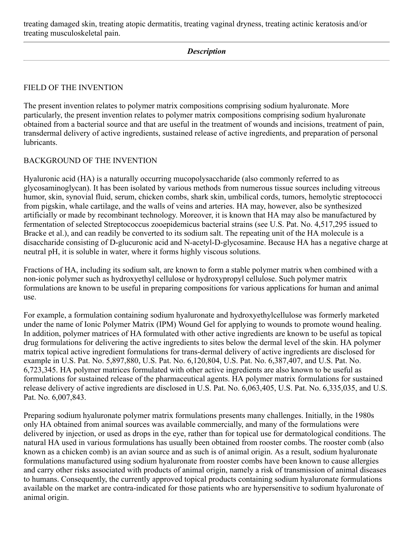treating damaged skin, treating atopic dermatitis, treating vaginal dryness, treating actinic keratosis and/or treating musculoskeletal pain.

## *Description*

## FIELD OF THE INVENTION

The present invention relates to polymer matrix compositions comprising sodium hyaluronate. More particularly, the present invention relates to polymer matrix compositions comprising sodium hyaluronate obtained from a bacterial source and that are useful in the treatment of wounds and incisions, treatment of pain, transdermal delivery of active ingredients, sustained release of active ingredients, and preparation of personal lubricants.

#### BACKGROUND OF THE INVENTION

Hyaluronic acid (HA) is a naturally occurring mucopolysaccharide (also commonly referred to as glycosaminoglycan). It has been isolated by various methods from numerous tissue sources including vitreous humor, skin, synovial fluid, serum, chicken combs, shark skin, umbilical cords, tumors, hemolytic streptococci from pigskin, whale cartilage, and the walls of veins and arteries. HA may, however, also be synthesized artificially or made by recombinant technology. Moreover, it is known that HA may also be manufactured by fermentation of selected Streptococcus zooepidemicus bacterial strains (see U.S. Pat. No. 4,517,295 issued to Bracke et al.), and can readily be converted to its sodium salt. The repeating unit of the HA molecule is a disaccharide consisting of D-glucuronic acid and N-acetyl-D-glycosamine. Because HA has a negative charge at neutral pH, it is soluble in water, where it forms highly viscous solutions.

Fractions of HA, including its sodium salt, are known to form a stable polymer matrix when combined with a non-ionic polymer such as hydroxyethyl cellulose or hydroxypropyl cellulose. Such polymer matrix formulations are known to be useful in preparing compositions for various applications for human and animal use.

For example, a formulation containing sodium hyaluronate and hydroxyethylcellulose was formerly marketed under the name of Ionic Polymer Matrix (IPM) Wound Gel for applying to wounds to promote wound healing. In addition, polymer matrices of HA formulated with other active ingredients are known to be useful as topical drug formulations for delivering the active ingredients to sites below the dermal level of the skin. HA polymer matrix topical active ingredient formulations for trans-dermal delivery of active ingredients are disclosed for example in U.S. Pat. No. 5,897,880, U.S. Pat. No. 6,120,804, U.S. Pat. No. 6,387,407, and U.S. Pat. No. 6,723,345. HA polymer matrices formulated with other active ingredients are also known to be useful as formulations for sustained release of the pharmaceutical agents. HA polymer matrix formulations for sustained release delivery of active ingredients are disclosed in U.S. Pat. No. 6,063,405, U.S. Pat. No. 6,335,035, and U.S. Pat. No. 6,007,843.

Preparing sodium hyaluronate polymer matrix formulations presents many challenges. Initially, in the 1980s only HA obtained from animal sources was available commercially, and many of the formulations were delivered by injection, or used as drops in the eye, rather than for topical use for dermatological conditions. The natural HA used in various formulations has usually been obtained from rooster combs. The rooster comb (also known as a chicken comb) is an avian source and as such is of animal origin. As a result, sodium hyaluronate formulations manufactured using sodium hyaluronate from rooster combs have been known to cause allergies and carry other risks associated with products of animal origin, namely a risk of transmission of animal diseases to humans. Consequently, the currently approved topical products containing sodium hyaluronate formulations available on the market are contra-indicated for those patients who are hypersensitive to sodium hyaluronate of animal origin.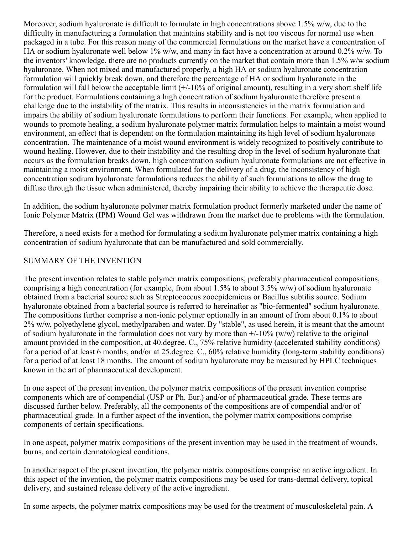Moreover, sodium hyaluronate is difficult to formulate in high concentrations above 1.5% w/w, due to the difficulty in manufacturing a formulation that maintains stability and is not too viscous for normal use when packaged in a tube. For this reason many of the commercial formulations on the market have a concentration of HA or sodium hyaluronate well below 1% w/w, and many in fact have a concentration at around 0.2% w/w. To the inventors' knowledge, there are no products currently on the market that contain more than 1.5% w/w sodium hyaluronate. When not mixed and manufactured properly, a high HA or sodium hyaluronate concentration formulation will quickly break down, and therefore the percentage of HA or sodium hyaluronate in the formulation will fall below the acceptable limit (+/-10% of original amount), resulting in a very short shelf life for the product. Formulations containing a high concentration of sodium hyaluronate therefore present a challenge due to the instability of the matrix. This results in inconsistencies in the matrix formulation and impairs the ability of sodium hyaluronate formulations to perform their functions. For example, when applied to wounds to promote healing, a sodium hyaluronate polymer matrix formulation helps to maintain a moist wound environment, an effect that is dependent on the formulation maintaining its high level of sodium hyaluronate concentration. The maintenance of a moist wound environment is widely recognized to positively contribute to wound healing. However, due to their instability and the resulting drop in the level of sodium hyaluronate that occurs as the formulation breaks down, high concentration sodium hyaluronate formulations are not effective in maintaining a moist environment. When formulated for the delivery of a drug, the inconsistency of high concentration sodium hyaluronate formulations reduces the ability of such formulations to allow the drug to diffuse through the tissue when administered, thereby impairing their ability to achieve the therapeutic dose.

In addition, the sodium hyaluronate polymer matrix formulation product formerly marketed under the name of Ionic Polymer Matrix (IPM) Wound Gel was withdrawn from the market due to problems with the formulation.

Therefore, a need exists for a method for formulating a sodium hyaluronate polymer matrix containing a high concentration of sodium hyaluronate that can be manufactured and sold commercially.

## SUMMARY OF THE INVENTION

The present invention relates to stable polymer matrix compositions, preferably pharmaceutical compositions, comprising a high concentration (for example, from about 1.5% to about 3.5% w/w) of sodium hyaluronate obtained from a bacterial source such as Streptococcus zooepidemicus or Bacillus subtilis source. Sodium hyaluronate obtained from a bacterial source is referred to hereinafter as "bio-fermented" sodium hyaluronate. The compositions further comprise a non-ionic polymer optionally in an amount of from about 0.1% to about 2% w/w, polyethylene glycol, methylparaben and water. By "stable", as used herein, it is meant that the amount of sodium hyaluronate in the formulation does not vary by more than  $+/10\%$  (w/w) relative to the original amount provided in the composition, at 40.degree. C., 75% relative humidity (accelerated stability conditions) for a period of at least 6 months, and/or at 25.degree. C., 60% relative humidity (long-term stability conditions) for a period of at least 18 months. The amount of sodium hyaluronate may be measured by HPLC techniques known in the art of pharmaceutical development.

In one aspect of the present invention, the polymer matrix compositions of the present invention comprise components which are of compendial (USP or Ph. Eur.) and/or of pharmaceutical grade. These terms are discussed further below. Preferably, all the components of the compositions are of compendial and/or of pharmaceutical grade. In a further aspect of the invention, the polymer matrix compositions comprise components of certain specifications.

In one aspect, polymer matrix compositions of the present invention may be used in the treatment of wounds, burns, and certain dermatological conditions.

In another aspect of the present invention, the polymer matrix compositions comprise an active ingredient. In this aspect of the invention, the polymer matrix compositions may be used for trans-dermal delivery, topical delivery, and sustained release delivery of the active ingredient.

In some aspects, the polymer matrix compositions may be used for the treatment of musculoskeletal pain. A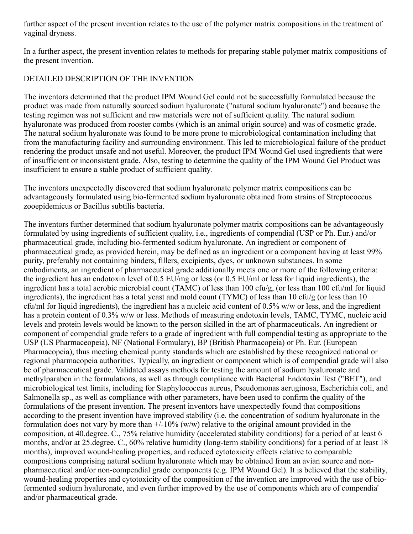further aspect of the present invention relates to the use of the polymer matrix compositions in the treatment of vaginal dryness.

In a further aspect, the present invention relates to methods for preparing stable polymer matrix compositions of the present invention.

## DETAILED DESCRIPTION OF THE INVENTION

The inventors determined that the product IPM Wound Gel could not be successfully formulated because the product was made from naturally sourced sodium hyaluronate ("natural sodium hyaluronate") and because the testing regimen was not sufficient and raw materials were not of sufficient quality. The natural sodium hyaluronate was produced from rooster combs (which is an animal origin source) and was of cosmetic grade. The natural sodium hyaluronate was found to be more prone to microbiological contamination including that from the manufacturing facility and surrounding environment. This led to microbiological failure of the product rendering the product unsafe and not useful. Moreover, the product IPM Wound Gel used ingredients that were of insufficient or inconsistent grade. Also, testing to determine the quality of the IPM Wound Gel Product was insufficient to ensure a stable product of sufficient quality.

The inventors unexpectedly discovered that sodium hyaluronate polymer matrix compositions can be advantageously formulated using bio-fermented sodium hyaluronate obtained from strains of Streptococcus zooepidemicus or Bacillus subtilis bacteria.

The inventors further determined that sodium hyaluronate polymer matrix compositions can be advantageously formulated by using ingredients of sufficient quality, i.e., ingredients of compendial (USP or Ph. Eur.) and/or pharmaceutical grade, including bio-fermented sodium hyaluronate. An ingredient or component of pharmaceutical grade, as provided herein, may be defined as an ingredient or a component having at least 99% purity, preferably not containing binders, fillers, excipients, dyes, or unknown substances. In some embodiments, an ingredient of pharmaceutical grade additionally meets one or more of the following criteria: the ingredient has an endotoxin level of 0.5 EU/mg or less (or 0.5 EU/ml or less for liquid ingredients), the ingredient has a total aerobic microbial count (TAMC) of less than 100 cfu/g, (or less than 100 cfu/ml for liquid ingredients), the ingredient has a total yeast and mold count (TYMC) of less than 10 cfu/g (or less than 10 cfu/ml for liquid ingredients), the ingredient has a nucleic acid content of 0.5% w/w or less, and the ingredient has a protein content of 0.3% w/w or less. Methods of measuring endotoxin levels, TAMC, TYMC, nucleic acid levels and protein levels would be known to the person skilled in the art of pharmaceuticals. An ingredient or component of compendial grade refers to a grade of ingredient with full compendial testing as appropriate to the USP (US Pharmaceopeia), NF (National Formulary), BP (British Pharmacopeia) or Ph. Eur. (European Pharmacopeia), thus meeting chemical purity standards which are established by these recognized national or regional pharmacopeia authorities. Typically, an ingredient or component which is of compendial grade will also be of pharmaceutical grade. Validated assays methods for testing the amount of sodium hyaluronate and methylparaben in the formulations, as well as through compliance with Bacterial Endotoxin Test ("BET"), and microbiological test limits, including for Staphylococcus aureus, Pseudomonas aeruginosa, Escherichia coli, and Salmonella sp., as well as compliance with other parameters, have been used to confirm the quality of the formulations of the present invention. The present inventors have unexpectedly found that compositions according to the present invention have improved stability (i.e. the concentration of sodium hyaluronate in the formulation does not vary by more than  $\pm$ /-10% (w/w) relative to the original amount provided in the composition, at 40.degree. C., 75% relative humidity (accelerated stability conditions) for a period of at least 6 months, and/or at 25.degree. C., 60% relative humidity (long-term stability conditions) for a period of at least 18 months), improved wound-healing properties, and reduced cytotoxicity effects relative to comparable compositions comprising natural sodium hyaluronate which may be obtained from an avian source and nonpharmaceutical and/or non-compendial grade components (e.g. IPM Wound Gel). It is believed that the stability, wound-healing properties and cytotoxicity of the composition of the invention are improved with the use of biofermented sodium hyaluronate, and even further improved by the use of components which are of compendia' and/or pharmaceutical grade.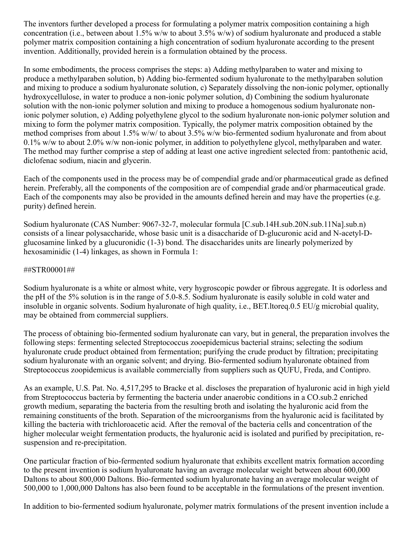The inventors further developed a process for formulating a polymer matrix composition containing a high concentration (i.e., between about 1.5% w/w to about 3.5% w/w) of sodium hyaluronate and produced a stable polymer matrix composition containing a high concentration of sodium hyaluronate according to the present invention. Additionally, provided herein is a formulation obtained by the process.

In some embodiments, the process comprises the steps: a) Adding methylparaben to water and mixing to produce a methylparaben solution, b) Adding bio-fermented sodium hyaluronate to the methylparaben solution and mixing to produce a sodium hyaluronate solution, c) Separately dissolving the non-ionic polymer, optionally hydroxycellulose, in water to produce a non-ionic polymer solution, d) Combining the sodium hyaluronate solution with the non-ionic polymer solution and mixing to produce a homogenous sodium hyaluronate nonionic polymer solution, e) Adding polyethylene glycol to the sodium hyaluronate non-ionic polymer solution and mixing to form the polymer matrix composition. Typically, the polymer matrix composition obtained by the method comprises from about 1.5% w/w/ to about 3.5% w/w bio-fermented sodium hyaluronate and from about 0.1% w/w to about 2.0% w/w non-ionic polymer, in addition to polyethylene glycol, methylparaben and water. The method may further comprise a step of adding at least one active ingredient selected from: pantothenic acid, diclofenac sodium, niacin and glycerin.

Each of the components used in the process may be of compendial grade and/or pharmaceutical grade as defined herein. Preferably, all the components of the composition are of compendial grade and/or pharmaceutical grade. Each of the components may also be provided in the amounts defined herein and may have the properties (e.g. purity) defined herein.

Sodium hyaluronate (CAS Number: 9067-32-7, molecular formula [C.sub.14H.sub.20N.sub.11Na].sub.n) consists of a linear polysaccharide, whose basic unit is a disaccharide of D-glucuronic acid and N-acetyl-Dglucosamine linked by a glucuronidic (1-3) bond. The disaccharides units are linearly polymerized by hexosaminidic (1-4) linkages, as shown in Formula 1:

#### ##STR00001##

Sodium hyaluronate is a white or almost white, very hygroscopic powder or fibrous aggregate. It is odorless and the pH of the 5% solution is in the range of 5.0-8.5. Sodium hyaluronate is easily soluble in cold water and insoluble in organic solvents. Sodium hyaluronate of high quality, i.e., BET.ltoreq.0.5 EU/g microbial quality, may be obtained from commercial suppliers.

The process of obtaining bio-fermented sodium hyaluronate can vary, but in general, the preparation involves the following steps: fermenting selected Streptococcus zooepidemicus bacterial strains; selecting the sodium hyaluronate crude product obtained from fermentation; purifying the crude product by filtration; precipitating sodium hyaluronate with an organic solvent; and drying. Bio-fermented sodium hyaluronate obtained from Streptococcus zoopidemicus is available commercially from suppliers such as QUFU, Freda, and Contipro.

As an example, U.S. Pat. No. 4,517,295 to Bracke et al. discloses the preparation of hyaluronic acid in high yield from Streptococcus bacteria by fermenting the bacteria under anaerobic conditions in a CO.sub.2 enriched growth medium, separating the bacteria from the resulting broth and isolating the hyaluronic acid from the remaining constituents of the broth. Separation of the microorganisms from the hyaluronic acid is facilitated by killing the bacteria with trichloroacetic acid. After the removal of the bacteria cells and concentration of the higher molecular weight fermentation products, the hyaluronic acid is isolated and purified by precipitation, resuspension and re-precipitation.

One particular fraction of bio-fermented sodium hyaluronate that exhibits excellent matrix formation according to the present invention is sodium hyaluronate having an average molecular weight between about 600,000 Daltons to about 800,000 Daltons. Bio-fermented sodium hyaluronate having an average molecular weight of 500,000 to 1,000,000 Daltons has also been found to be acceptable in the formulations of the present invention.

In addition to bio-fermented sodium hyaluronate, polymer matrix formulations of the present invention include a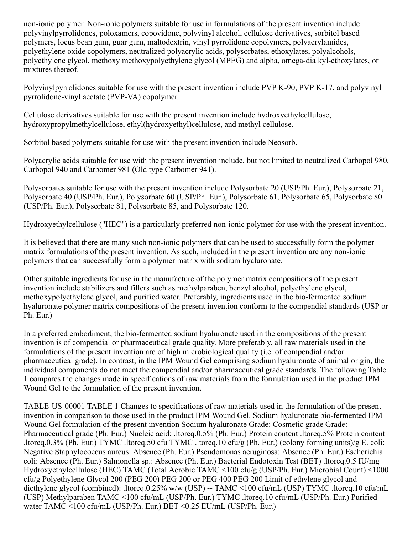non-ionic polymer. Non-ionic polymers suitable for use in formulations of the present invention include polyvinylpyrrolidones, poloxamers, copovidone, polyvinyl alcohol, cellulose derivatives, sorbitol based polymers, locus bean gum, guar gum, maltodextrin, vinyl pyrrolidone copolymers, polyacrylamides, polyethylene oxide copolymers, neutralized polyacrylic acids, polysorbates, ethoxylates, polyalcohols, polyethylene glycol, methoxy methoxypolyethylene glycol (MPEG) and alpha, omega-dialkyl-ethoxylates, or mixtures thereof.

Polyvinylpyrrolidones suitable for use with the present invention include PVP K-90, PVP K-17, and polyvinyl pyrrolidone-vinyl acetate (PVP-VA) copolymer.

Cellulose derivatives suitable for use with the present invention include hydroxyethylcellulose, hydroxypropylmethylcellulose, ethyl(hydroxyethyl)cellulose, and methyl cellulose.

Sorbitol based polymers suitable for use with the present invention include Neosorb.

Polyacrylic acids suitable for use with the present invention include, but not limited to neutralized Carbopol 980, Carbopol 940 and Carbomer 981 (Old type Carbomer 941).

Polysorbates suitable for use with the present invention include Polysorbate 20 (USP/Ph. Eur.), Polysorbate 21, Polysorbate 40 (USP/Ph. Eur.), Polysorbate 60 (USP/Ph. Eur.), Polysorbate 61, Polysorbate 65, Polysorbate 80 (USP/Ph. Eur.), Polysorbate 81, Polysorbate 85, and Polysorbate 120.

Hydroxyethylcellulose ("HEC") is a particularly preferred non-ionic polymer for use with the present invention.

It is believed that there are many such non-ionic polymers that can be used to successfully form the polymer matrix formulations of the present invention. As such, included in the present invention are any non-ionic polymers that can successfully form a polymer matrix with sodium hyaluronate.

Other suitable ingredients for use in the manufacture of the polymer matrix compositions of the present invention include stabilizers and fillers such as methylparaben, benzyl alcohol, polyethylene glycol, methoxypolyethylene glycol, and purified water. Preferably, ingredients used in the bio-fermented sodium hyaluronate polymer matrix compositions of the present invention conform to the compendial standards (USP or Ph. Eur.)

In a preferred embodiment, the bio-fermented sodium hyaluronate used in the compositions of the present invention is of compendial or pharmaceutical grade quality. More preferably, all raw materials used in the formulations of the present invention are of high microbiological quality (i.e. of compendial and/or pharmaceutical grade). In contrast, in the IPM Wound Gel comprising sodium hyaluronate of animal origin, the individual components do not meet the compendial and/or pharmaceutical grade standards. The following Table 1 compares the changes made in specifications of raw materials from the formulation used in the product IPM Wound Gel to the formulation of the present invention.

TABLE-US-00001 TABLE 1 Changes to specifications of raw materials used in the formulation of the present invention in comparison to those used in the product IPM Wound Gel. Sodium hyaluronate bio-fermented IPM Wound Gel formulation of the present invention Sodium hyaluronate Grade: Cosmetic grade Grade: Pharmaceutical grade (Ph. Eur.) Nucleic acid: .ltoreq.0.5% (Ph. Eur.) Protein content .ltoreq.5% Protein content .ltoreq.0.3% (Ph. Eur.) TYMC .ltoreq.50 cfu TYMC .ltoreq.10 cfu/g (Ph. Eur.) (colony forming units)/g E. coli: Negative Staphylococcus aureus: Absence (Ph. Eur.) Pseudomonas aeruginosa: Absence (Ph. Eur.) Escherichia coli: Absence (Ph. Eur.) Salmonella sp.: Absence (Ph. Eur.) Bacterial Endotoxin Test (BET) .ltoreq.0.5 IU/mg Hydroxyethylcellulose (HEC) TAMC (Total Aerobic TAMC <100 cfu/g (USP/Ph. Eur.) Microbial Count) <1000 cfu/g Polyethylene Glycol 200 (PEG 200) PEG 200 or PEG 400 PEG 200 Limit of ethylene glycol and diethylene glycol (combined): .ltoreq.0.25% w/w (USP) -- TAMC <100 cfu/mL (USP) TYMC .ltoreq.10 cfu/mL (USP) Methylparaben TAMC <100 cfu/mL (USP/Ph. Eur.) TYMC .ltoreq.10 cfu/mL (USP/Ph. Eur.) Purified water TAMC <100 cfu/mL (USP/Ph. Eur.) BET <0.25 EU/mL (USP/Ph. Eur.)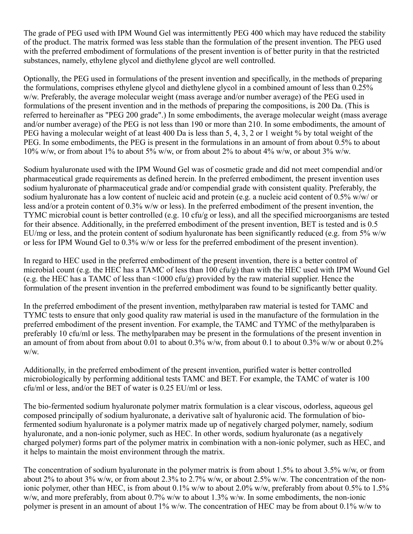The grade of PEG used with IPM Wound Gel was intermittently PEG 400 which may have reduced the stability of the product. The matrix formed was less stable than the formulation of the present invention. The PEG used with the preferred embodiment of formulations of the present invention is of better purity in that the restricted substances, namely, ethylene glycol and diethylene glycol are well controlled.

Optionally, the PEG used in formulations of the present invention and specifically, in the methods of preparing the formulations, comprises ethylene glycol and diethylene glycol in a combined amount of less than 0.25% w/w. Preferably, the average molecular weight (mass average and/or number average) of the PEG used in formulations of the present invention and in the methods of preparing the compositions, is 200 Da. (This is referred to hereinafter as "PEG 200 grade".) In some embodiments, the average molecular weight (mass average and/or number average) of the PEG is not less than 190 or more than 210. In some embodiments, the amount of PEG having a molecular weight of at least 400 Da is less than 5, 4, 3, 2 or 1 weight % by total weight of the PEG. In some embodiments, the PEG is present in the formulations in an amount of from about 0.5% to about 10% w/w, or from about 1% to about 5% w/w, or from about 2% to about 4% w/w, or about 3% w/w.

Sodium hyaluronate used with the IPM Wound Gel was of cosmetic grade and did not meet compendial and/or pharmaceutical grade requirements as defined herein. In the preferred embodiment, the present invention uses sodium hyaluronate of pharmaceutical grade and/or compendial grade with consistent quality. Preferably, the sodium hyaluronate has a low content of nucleic acid and protein (e.g. a nucleic acid content of 0.5% w/w/ or less and/or a protein content of 0.3% w/w or less). In the preferred embodiment of the present invention, the TYMC microbial count is better controlled (e.g. 10 cfu/g or less), and all the specified microorganisms are tested for their absence. Additionally, in the preferred embodiment of the present invention, BET is tested and is 0.5 EU/mg or less, and the protein content of sodium hyaluronate has been significantly reduced (e.g. from 5% w/w or less for IPM Wound Gel to 0.3% w/w or less for the preferred embodiment of the present invention).

In regard to HEC used in the preferred embodiment of the present invention, there is a better control of microbial count (e.g. the HEC has a TAMC of less than 100 cfu/g) than with the HEC used with IPM Wound Gel (e.g. the HEC has a TAMC of less than <1000 cfu/g) provided by the raw material supplier. Hence the formulation of the present invention in the preferred embodiment was found to be significantly better quality.

In the preferred embodiment of the present invention, methylparaben raw material is tested for TAMC and TYMC tests to ensure that only good quality raw material is used in the manufacture of the formulation in the preferred embodiment of the present invention. For example, the TAMC and TYMC of the methylparaben is preferably 10 cfu/ml or less. The methylparaben may be present in the formulations of the present invention in an amount of from about from about 0.01 to about 0.3% w/w, from about 0.1 to about 0.3% w/w or about 0.2% w/w.

Additionally, in the preferred embodiment of the present invention, purified water is better controlled microbiologically by performing additional tests TAMC and BET. For example, the TAMC of water is 100 cfu/ml or less, and/or the BET of water is 0.25 EU/ml or less.

The bio-fermented sodium hyaluronate polymer matrix formulation is a clear viscous, odorless, aqueous gel composed principally of sodium hyaluronate, a derivative salt of hyaluronic acid. The formulation of biofermented sodium hyaluronate is a polymer matrix made up of negatively charged polymer, namely, sodium hyaluronate, and a non-ionic polymer, such as HEC. In other words, sodium hyaluronate (as a negatively charged polymer) forms part of the polymer matrix in combination with a non-ionic polymer, such as HEC, and it helps to maintain the moist environment through the matrix.

The concentration of sodium hyaluronate in the polymer matrix is from about 1.5% to about 3.5% w/w, or from about 2% to about 3% w/w, or from about 2.3% to 2.7% w/w, or about 2.5% w/w. The concentration of the nonionic polymer, other than HEC, is from about 0.1% w/w to about 2.0% w/w, preferably from about 0.5% to 1.5% w/w, and more preferably, from about 0.7% w/w to about 1.3% w/w. In some embodiments, the non-ionic polymer is present in an amount of about 1% w/w. The concentration of HEC may be from about 0.1% w/w to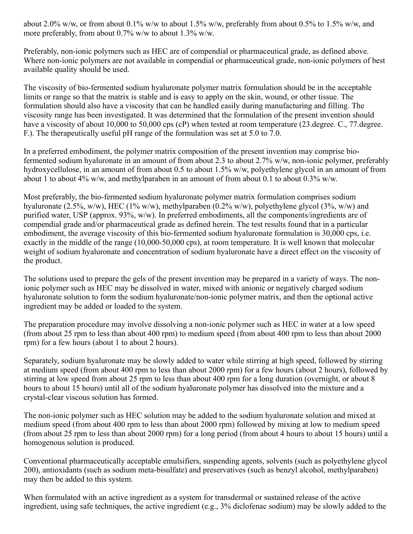about 2.0% w/w, or from about 0.1% w/w to about 1.5% w/w, preferably from about 0.5% to 1.5% w/w, and more preferably, from about 0.7% w/w to about 1.3% w/w.

Preferably, non-ionic polymers such as HEC are of compendial or pharmaceutical grade, as defined above. Where non-ionic polymers are not available in compendial or pharmaceutical grade, non-ionic polymers of best available quality should be used.

The viscosity of bio-fermented sodium hyaluronate polymer matrix formulation should be in the acceptable limits or range so that the matrix is stable and is easy to apply on the skin, wound, or other tissue. The formulation should also have a viscosity that can be handled easily during manufacturing and filling. The viscosity range has been investigated. It was determined that the formulation of the present invention should have a viscosity of about 10,000 to 50,000 cps (cP) when tested at room temperature (23.degree. C., 77.degree. F.). The therapeutically useful pH range of the formulation was set at 5.0 to 7.0.

In a preferred embodiment, the polymer matrix composition of the present invention may comprise biofermented sodium hyaluronate in an amount of from about 2.3 to about 2.7% w/w, non-ionic polymer, preferably hydroxycellulose, in an amount of from about 0.5 to about 1.5% w/w, polyethylene glycol in an amount of from about 1 to about 4% w/w, and methylparaben in an amount of from about 0.1 to about 0.3% w/w.

Most preferably, the bio-fermented sodium hyaluronate polymer matrix formulation comprises sodium hyaluronate (2.5%, w/w), HEC (1% w/w), methylparaben (0.2% w/w), polyethylene glycol (3%, w/w) and purified water, USP (approx. 93%, w/w). In preferred embodiments, all the components/ingredients are of compendial grade and/or pharmaceutical grade as defined herein. The test results found that in a particular embodiment, the average viscosity of this bio-fermented sodium hyaluronate formulation is 30,000 cps, i.e. exactly in the middle of the range (10,000-50,000 cps), at room temperature. It is well known that molecular weight of sodium hyaluronate and concentration of sodium hyaluronate have a direct effect on the viscosity of the product.

The solutions used to prepare the gels of the present invention may be prepared in a variety of ways. The nonionic polymer such as HEC may be dissolved in water, mixed with anionic or negatively charged sodium hyaluronate solution to form the sodium hyaluronate/non-ionic polymer matrix, and then the optional active ingredient may be added or loaded to the system.

The preparation procedure may involve dissolving a non-ionic polymer such as HEC in water at a low speed (from about 25 rpm to less than about 400 rpm) to medium speed (from about 400 rpm to less than about 2000 rpm) for a few hours (about 1 to about 2 hours).

Separately, sodium hyaluronate may be slowly added to water while stirring at high speed, followed by stirring at medium speed (from about 400 rpm to less than about 2000 rpm) for a few hours (about 2 hours), followed by stirring at low speed from about 25 rpm to less than about 400 rpm for a long duration (overnight, or about 8 hours to about 15 hours) until all of the sodium hyaluronate polymer has dissolved into the mixture and a crystal-clear viscous solution has formed.

The non-ionic polymer such as HEC solution may be added to the sodium hyaluronate solution and mixed at medium speed (from about 400 rpm to less than about 2000 rpm) followed by mixing at low to medium speed (from about 25 rpm to less than about 2000 rpm) for a long period (from about 4 hours to about 15 hours) until a homogenous solution is produced.

Conventional pharmaceutically acceptable emulsifiers, suspending agents, solvents (such as polyethylene glycol 200), antioxidants (such as sodium meta-bisulfate) and preservatives (such as benzyl alcohol, methylparaben) may then be added to this system.

When formulated with an active ingredient as a system for transdermal or sustained release of the active ingredient, using safe techniques, the active ingredient (e.g., 3% diclofenac sodium) may be slowly added to the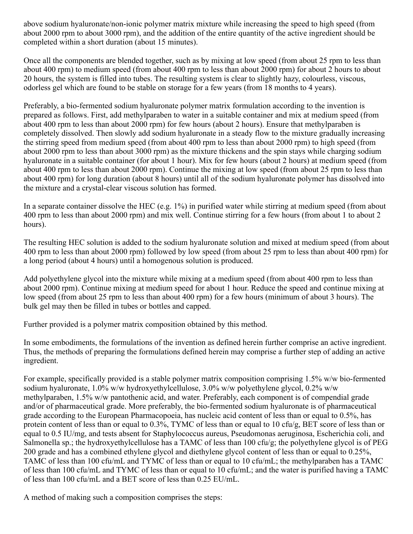above sodium hyaluronate/non-ionic polymer matrix mixture while increasing the speed to high speed (from about 2000 rpm to about 3000 rpm), and the addition of the entire quantity of the active ingredient should be completed within a short duration (about 15 minutes).

Once all the components are blended together, such as by mixing at low speed (from about 25 rpm to less than about 400 rpm) to medium speed (from about 400 rpm to less than about 2000 rpm) for about 2 hours to about 20 hours, the system is filled into tubes. The resulting system is clear to slightly hazy, colourless, viscous, odorless gel which are found to be stable on storage for a few years (from 18 months to 4 years).

Preferably, a bio-fermented sodium hyaluronate polymer matrix formulation according to the invention is prepared as follows. First, add methylparaben to water in a suitable container and mix at medium speed (from about 400 rpm to less than about 2000 rpm) for few hours (about 2 hours). Ensure that methylparaben is completely dissolved. Then slowly add sodium hyaluronate in a steady flow to the mixture gradually increasing the stirring speed from medium speed (from about 400 rpm to less than about 2000 rpm) to high speed (from about 2000 rpm to less than about 3000 rpm) as the mixture thickens and the spin stays while charging sodium hyaluronate in a suitable container (for about 1 hour). Mix for few hours (about 2 hours) at medium speed (from about 400 rpm to less than about 2000 rpm). Continue the mixing at low speed (from about 25 rpm to less than about 400 rpm) for long duration (about 8 hours) until all of the sodium hyaluronate polymer has dissolved into the mixture and a crystal-clear viscous solution has formed.

In a separate container dissolve the HEC (e.g. 1%) in purified water while stirring at medium speed (from about 400 rpm to less than about 2000 rpm) and mix well. Continue stirring for a few hours (from about 1 to about 2 hours).

The resulting HEC solution is added to the sodium hyaluronate solution and mixed at medium speed (from about 400 rpm to less than about 2000 rpm) followed by low speed (from about 25 rpm to less than about 400 rpm) for a long period (about 4 hours) until a homogenous solution is produced.

Add polyethylene glycol into the mixture while mixing at a medium speed (from about 400 rpm to less than about 2000 rpm). Continue mixing at medium speed for about 1 hour. Reduce the speed and continue mixing at low speed (from about 25 rpm to less than about 400 rpm) for a few hours (minimum of about 3 hours). The bulk gel may then be filled in tubes or bottles and capped.

Further provided is a polymer matrix composition obtained by this method.

In some embodiments, the formulations of the invention as defined herein further comprise an active ingredient. Thus, the methods of preparing the formulations defined herein may comprise a further step of adding an active ingredient.

For example, specifically provided is a stable polymer matrix composition comprising 1.5% w/w bio-fermented sodium hyaluronate, 1.0% w/w hydroxyethylcellulose, 3.0% w/w polyethylene glycol, 0.2% w/w methylparaben, 1.5% w/w pantothenic acid, and water. Preferably, each component is of compendial grade and/or of pharmaceutical grade. More preferably, the bio-fermented sodium hyaluronate is of pharmaceutical grade according to the European Pharmacopoeia, has nucleic acid content of less than or equal to 0.5%, has protein content of less than or equal to 0.3%, TYMC of less than or equal to 10 cfu/g, BET score of less than or equal to 0.5 IU/mg, and tests absent for Staphylococcus aureus, Pseudomonas aeruginosa, Escherichia coli, and Salmonella sp.; the hydroxyethylcellulose has a TAMC of less than 100 cfu/g; the polyethylene glycol is of PEG 200 grade and has a combined ethylene glycol and diethylene glycol content of less than or equal to 0.25%, TAMC of less than 100 cfu/mL and TYMC of less than or equal to 10 cfu/mL; the methylparaben has a TAMC of less than 100 cfu/mL and TYMC of less than or equal to 10 cfu/mL; and the water is purified having a TAMC of less than 100 cfu/mL and a BET score of less than 0.25 EU/mL.

A method of making such a composition comprises the steps: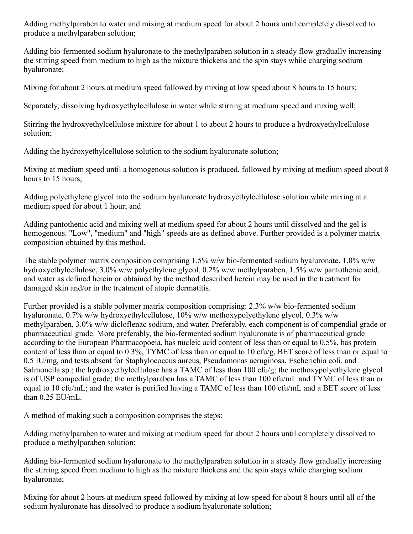Adding methylparaben to water and mixing at medium speed for about 2 hours until completely dissolved to produce a methylparaben solution;

Adding bio-fermented sodium hyaluronate to the methylparaben solution in a steady flow gradually increasing the stirring speed from medium to high as the mixture thickens and the spin stays while charging sodium hyaluronate;

Mixing for about 2 hours at medium speed followed by mixing at low speed about 8 hours to 15 hours;

Separately, dissolving hydroxyethylcellulose in water while stirring at medium speed and mixing well;

Stirring the hydroxyethylcellulose mixture for about 1 to about 2 hours to produce a hydroxyethylcellulose solution;

Adding the hydroxyethylcellulose solution to the sodium hyaluronate solution;

Mixing at medium speed until a homogenous solution is produced, followed by mixing at medium speed about 8 hours to 15 hours;

Adding polyethylene glycol into the sodium hyaluronate hydroxyethylcellulose solution while mixing at a medium speed for about 1 hour; and

Adding pantothenic acid and mixing well at medium speed for about 2 hours until dissolved and the gel is homogenous. "Low", "medium" and "high" speeds are as defined above. Further provided is a polymer matrix composition obtained by this method.

The stable polymer matrix composition comprising 1.5% w/w bio-fermented sodium hyaluronate, 1.0% w/w hydroxyethylcellulose, 3.0% w/w polyethylene glycol, 0.2% w/w methylparaben, 1.5% w/w pantothenic acid, and water as defined herein or obtained by the method described herein may be used in the treatment for damaged skin and/or in the treatment of atopic dermatitis.

Further provided is a stable polymer matrix composition comprising: 2.3% w/w bio-fermented sodium hyaluronate, 0.7% w/w hydroxyethylcellulose, 10% w/w methoxypolyethylene glycol, 0.3% w/w methylparaben, 3.0% w/w dicloflenac sodium, and water. Preferably, each component is of compendial grade or pharmaceutical grade. More preferably, the bio-fermented sodium hyaluronate is of pharmaceutical grade according to the European Pharmacopoeia, has nucleic acid content of less than or equal to 0.5%, has protein content of less than or equal to 0.3%, TYMC of less than or equal to 10 cfu/g, BET score of less than or equal to 0.5 IU/mg, and tests absent for Staphylococcus aureus, Pseudomonas aeruginosa, Escherichia coli, and Salmonella sp.; the hydroxyethylcellulose has a TAMC of less than 100 cfu/g; the methoxypolyethylene glycol is of USP compedial grade; the methylparaben has a TAMC of less than 100 cfu/mL and TYMC of less than or equal to 10 cfu/mL; and the water is purified having a TAMC of less than 100 cfu/mL and a BET score of less than 0.25 EU/mL.

A method of making such a composition comprises the steps:

Adding methylparaben to water and mixing at medium speed for about 2 hours until completely dissolved to produce a methylparaben solution;

Adding bio-fermented sodium hyaluronate to the methylparaben solution in a steady flow gradually increasing the stirring speed from medium to high as the mixture thickens and the spin stays while charging sodium hyaluronate;

Mixing for about 2 hours at medium speed followed by mixing at low speed for about 8 hours until all of the sodium hyaluronate has dissolved to produce a sodium hyaluronate solution;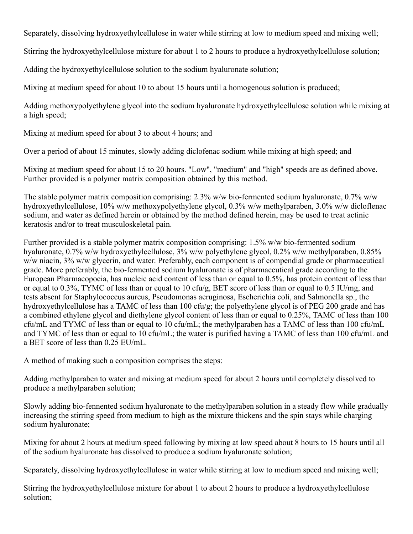Separately, dissolving hydroxyethylcellulose in water while stirring at low to medium speed and mixing well;

Stirring the hydroxyethylcellulose mixture for about 1 to 2 hours to produce a hydroxyethylcellulose solution;

Adding the hydroxyethylcellulose solution to the sodium hyaluronate solution;

Mixing at medium speed for about 10 to about 15 hours until a homogenous solution is produced;

Adding methoxypolyethylene glycol into the sodium hyaluronate hydroxyethylcellulose solution while mixing at a high speed;

Mixing at medium speed for about 3 to about 4 hours; and

Over a period of about 15 minutes, slowly adding diclofenac sodium while mixing at high speed; and

Mixing at medium speed for about 15 to 20 hours. "Low", "medium" and "high" speeds are as defined above. Further provided is a polymer matrix composition obtained by this method.

The stable polymer matrix composition comprising: 2.3% w/w bio-fermented sodium hyaluronate, 0.7% w/w hydroxyethylcellulose, 10% w/w methoxypolyethylene glycol, 0.3% w/w methylparaben, 3.0% w/w dicloflenac sodium, and water as defined herein or obtained by the method defined herein, may be used to treat actinic keratosis and/or to treat musculoskeletal pain.

Further provided is a stable polymer matrix composition comprising: 1.5% w/w bio-fermented sodium hyaluronate, 0.7% w/w hydroxyethylcellulose, 3% w/w polyethylene glycol, 0.2% w/w methylparaben, 0.85% w/w niacin, 3% w/w glycerin, and water. Preferably, each component is of compendial grade or pharmaceutical grade. More preferably, the bio-fermented sodium hyaluronate is of pharmaceutical grade according to the European Pharmacopoeia, has nucleic acid content of less than or equal to 0.5%, has protein content of less than or equal to 0.3%, TYMC of less than or equal to 10 cfu/g, BET score of less than or equal to 0.5 IU/mg, and tests absent for Staphylococcus aureus, Pseudomonas aeruginosa, Escherichia coli, and Salmonella sp., the hydroxyethylcellulose has a TAMC of less than 100 cfu/g; the polyethylene glycol is of PEG 200 grade and has a combined ethylene glycol and diethylene glycol content of less than or equal to 0.25%, TAMC of less than 100 cfu/mL and TYMC of less than or equal to 10 cfu/mL; the methylparaben has a TAMC of less than 100 cfu/mL and TYMC of less than or equal to 10 cfu/mL; the water is purified having a TAMC of less than 100 cfu/mL and a BET score of less than 0.25 EU/mL.

A method of making such a composition comprises the steps:

Adding methylparaben to water and mixing at medium speed for about 2 hours until completely dissolved to produce a methylparaben solution;

Slowly adding bio-fennented sodium hyaluronate to the methylparaben solution in a steady flow while gradually increasing the stirring speed from medium to high as the mixture thickens and the spin stays while charging sodium hyaluronate;

Mixing for about 2 hours at medium speed following by mixing at low speed about 8 hours to 15 hours until all of the sodium hyaluronate has dissolved to produce a sodium hyaluronate solution;

Separately, dissolving hydroxyethylcellulose in water while stirring at low to medium speed and mixing well;

Stirring the hydroxyethylcellulose mixture for about 1 to about 2 hours to produce a hydroxyethylcellulose solution;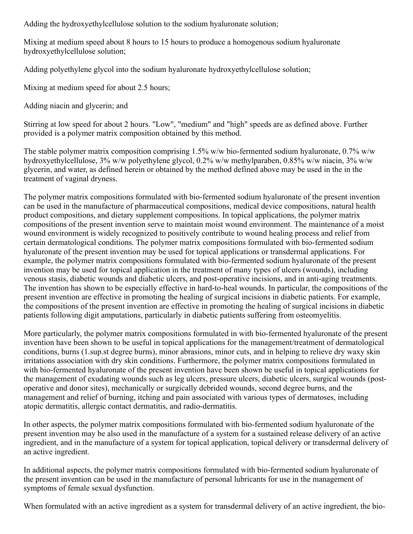Adding the hydroxyethylcellulose solution to the sodium hyaluronate solution;

Mixing at medium speed about 8 hours to 15 hours to produce a homogenous sodium hyaluronate hydroxyethylcellulose solution;

Adding polyethylene glycol into the sodium hyaluronate hydroxyethylcellulose solution;

Mixing at medium speed for about 2.5 hours;

Adding niacin and glycerin; and

Stirring at low speed for about 2 hours. "Low", "medium" and "high" speeds are as defined above. Further provided is a polymer matrix composition obtained by this method.

The stable polymer matrix composition comprising 1.5% w/w bio-fermented sodium hyaluronate, 0.7% w/w hydroxyethylcellulose, 3% w/w polyethylene glycol, 0.2% w/w methylparaben, 0.85% w/w niacin, 3% w/w glycerin, and water, as defined herein or obtained by the method defined above may be used in the in the treatment of vaginal dryness.

The polymer matrix compositions formulated with bio-fermented sodium hyaluronate of the present invention can be used in the manufacture of pharmaceutical compositions, medical device compositions, natural health product compositions, and dietary supplement compositions. In topical applications, the polymer matrix compositions of the present invention serve to maintain moist wound environment. The maintenance of a moist wound environment is widely recognized to positively contribute to wound healing process and relief from certain dermatological conditions. The polymer matrix compositions formulated with bio-fermented sodium hyaluronate of the present invention may be used for topical applications or transdermal applications. For example, the polymer matrix compositions formulated with bio-fermented sodium hyaluronate of the present invention may be used for topical application in the treatment of many types of ulcers (wounds), including venous stasis, diabetic wounds and diabetic ulcers, and post-operative incisions, and in anti-aging treatments. The invention has shown to be especially effective in hard-to-heal wounds. In particular, the compositions of the present invention are effective in promoting the healing of surgical incisions in diabetic patients. For example, the compositions of the present invention are effective in promoting the healing of surgical incisions in diabetic patients following digit amputations, particularly in diabetic patients suffering from osteomyelitis.

More particularly, the polymer matrix compositions formulated in with bio-fermented hyaluronate of the present invention have been shown to be useful in topical applications for the management/treatment of dermatological conditions, burns (1.sup.st degree burns), minor abrasions, minor cuts, and in helping to relieve dry waxy skin irritations association with dry skin conditions. Furthermore, the polymer matrix compositions formulated in with bio-fermented hyaluronate of the present invention have been shown be useful in topical applications for the management of exudating wounds such as leg ulcers, pressure ulcers, diabetic ulcers, surgical wounds (postoperative and donor sites), mechanically or surgically debrided wounds, second degree burns, and the management and relief of burning, itching and pain associated with various types of dermatoses, including atopic dermatitis, allergic contact dermatitis, and radio-dermatitis.

In other aspects, the polymer matrix compositions formulated with bio-fermented sodium hyaluronate of the present invention may be also used in the manufacture of a system for a sustained release delivery of an active ingredient, and in the manufacture of a system for topical application, topical delivery or transdermal delivery of an active ingredient.

In additional aspects, the polymer matrix compositions formulated with bio-fermented sodium hyaluronate of the present invention can be used in the manufacture of personal lubricants for use in the management of symptoms of female sexual dysfunction.

When formulated with an active ingredient as a system for transdermal delivery of an active ingredient, the bio-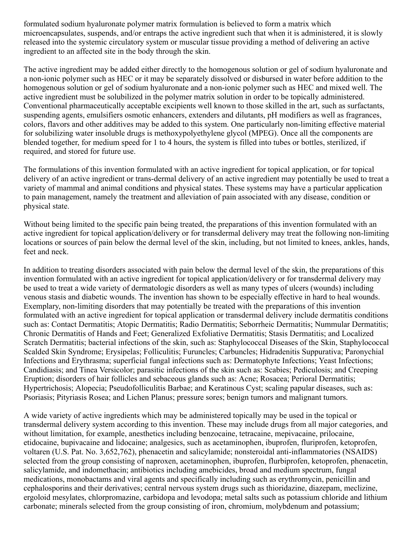formulated sodium hyaluronate polymer matrix formulation is believed to form a matrix which microencapsulates, suspends, and/or entraps the active ingredient such that when it is administered, it is slowly released into the systemic circulatory system or muscular tissue providing a method of delivering an active ingredient to an affected site in the body through the skin.

The active ingredient may be added either directly to the homogenous solution or gel of sodium hyaluronate and a non-ionic polymer such as HEC or it may be separately dissolved or disbursed in water before addition to the homogenous solution or gel of sodium hyaluronate and a non-ionic polymer such as HEC and mixed well. The active ingredient must be solubilized in the polymer matrix solution in order to be topically administered. Conventional pharmaceutically acceptable excipients well known to those skilled in the art, such as surfactants, suspending agents, emulsifiers osmotic enhancers, extenders and dilutants, pH modifiers as well as fragrances, colors, flavors and other additives may be added to this system. One particularly non-limiting effective material for solubilizing water insoluble drugs is methoxypolyethylene glycol (MPEG). Once all the components are blended together, for medium speed for 1 to 4 hours, the system is filled into tubes or bottles, sterilized, if required, and stored for future use.

The formulations of this invention formulated with an active ingredient for topical application, or for topical delivery of an active ingredient or trans-dermal delivery of an active ingredient may potentially be used to treat a variety of mammal and animal conditions and physical states. These systems may have a particular application to pain management, namely the treatment and alleviation of pain associated with any disease, condition or physical state.

Without being limited to the specific pain being treated, the preparations of this invention formulated with an active ingredient for topical application/delivery or for transdermal delivery may treat the following non-limiting locations or sources of pain below the dermal level of the skin, including, but not limited to knees, ankles, hands, feet and neck.

In addition to treating disorders associated with pain below the dermal level of the skin, the preparations of this invention formulated with an active ingredient for topical application/delivery or for transdermal delivery may be used to treat a wide variety of dermatologic disorders as well as many types of ulcers (wounds) including venous stasis and diabetic wounds. The invention has shown to be especially effective in hard to heal wounds. Exemplary, non-limiting disorders that may potentially be treated with the preparations of this invention formulated with an active ingredient for topical application or transdermal delivery include dermatitis conditions such as: Contact Dermatitis; Atopic Dermatitis; Radio Dermatitis; Seborrheic Dermatitis; Nummular Dermatitis; Chronic Dermatitis of Hands and Feet; Generalized Exfoliative Dermatitis; Stasis Dermatitis; and Localized Scratch Dermatitis; bacterial infections of the skin, such as: Staphylococcal Diseases of the Skin, Staphylococcal Scalded Skin Syndrome; Erysipelas; Folliculitis; Furuncles; Carbuncles; Hidradenitis Suppurativa; Paronychial Infections and Erythrasma; superficial fungal infections such as: Dermatophyte Infections; Yeast Infections; Candidiasis; and Tinea Versicolor; parasitic infections of the skin such as: Scabies; Pediculosis; and Creeping Eruption; disorders of hair follicles and sebaceous glands such as: Acne; Rosacea; Perioral Dermatitis; Hypertrichosis; Alopecia; Pseudofolliculitis Barbae; and Keratinous Cyst; scaling papular diseases, such as: Psoriasis; Pityriasis Rosea; and Lichen Planus; pressure sores; benign tumors and malignant tumors.

A wide variety of active ingredients which may be administered topically may be used in the topical or transdermal delivery system according to this invention. These may include drugs from all major categories, and without limitation, for example, anesthetics including benzocaine, tetracaine, mepivacaine, prilocaine, etidocaine, bupivacaine and lidocaine; analgesics, such as acetaminophen, ibuprofen, fluriprofen, ketoprofen, voltaren (U.S. Pat. No. 3,652,762), phenacetin and salicylamide; nonsteroidal anti-inflammatories (NSAIDS) selected from the group consisting of naproxen, acetaminophen, ibuprofen, flurbiprofen, ketoprofen, phenacetin, salicylamide, and indomethacin; antibiotics including amebicides, broad and medium spectrum, fungal medications, monobactams and viral agents and specifically including such as erythromycin, penicillin and cephalosporins and their derivatives; central nervous system drugs such as thioridazine, diazepam, meclizine, ergoloid mesylates, chlorpromazine, carbidopa and levodopa; metal salts such as potassium chloride and lithium carbonate; minerals selected from the group consisting of iron, chromium, molybdenum and potassium;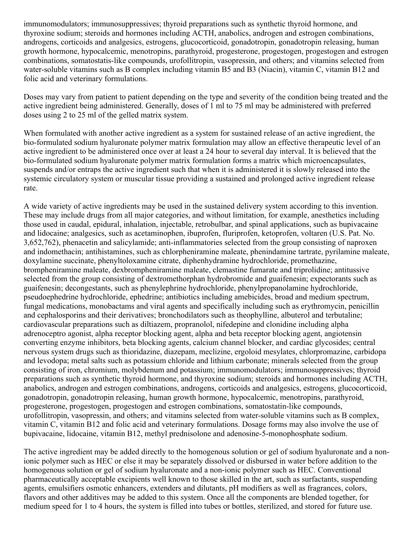immunomodulators; immunosuppressives; thyroid preparations such as synthetic thyroid hormone, and thyroxine sodium; steroids and hormones including ACTH, anabolics, androgen and estrogen combinations, androgens, corticoids and analgesics, estrogens, glucocorticoid, gonadotropin, gonadotropin releasing, human growth hormone, hypocalcemic, menotropins, parathyroid, progesterone, progestogen, progestogen and estrogen combinations, somatostatis-like compounds, urofollitropin, vasopressin, and others; and vitamins selected from water-soluble vitamins such as B complex including vitamin B5 and B3 (Niacin), vitamin C, vitamin B12 and folic acid and veterinary formulations.

Doses may vary from patient to patient depending on the type and severity of the condition being treated and the active ingredient being administered. Generally, doses of 1 ml to 75 ml may be administered with preferred doses using 2 to 25 ml of the gelled matrix system.

When formulated with another active ingredient as a system for sustained release of an active ingredient, the bio-formulated sodium hyaluronate polymer matrix formulation may allow an effective therapeutic level of an active ingredient to be administered once over at least a 24 hour to several day interval. It is believed that the bio-formulated sodium hyaluronate polymer matrix formulation forms a matrix which microencapsulates, suspends and/or entraps the active ingredient such that when it is administered it is slowly released into the systemic circulatory system or muscular tissue providing a sustained and prolonged active ingredient release rate.

A wide variety of active ingredients may be used in the sustained delivery system according to this invention. These may include drugs from all major categories, and without limitation, for example, anesthetics including those used in caudal, epidural, inhalation, injectable, retrobulbar, and spinal applications, such as bupivacaine and lidocaine; analgesics, such as acetaminophen, ibuprofen, fluriprofen, ketoprofen, voltaren (U.S. Pat. No. 3,652,762), phenacetin and salicylamide; anti-inflammatories selected from the group consisting of naproxen and indomethacin; antihistamines, such as chlorpheniramine maleate, phenindamine tartrate, pyrilamine maleate, doxylamine succinate, phenyltoloxamine citrate, diphenhydramine hydrochloride, promethazine, brompheniramine maleate, dexbrompheniramine maleate, clemastine fumarate and triprolidine; antitussive selected from the group consisting of dextromethorphan hydrobromide and guaifenesin; expectorants such as guaifenesin; decongestants, such as phenylephrine hydrochloride, phenylpropanolamine hydrochloride, pseudoephedrine hydrochloride, ephedrine; antibiotics including amebicides, broad and medium spectrum, fungal medications, monobactams and viral agents and specifically including such as erythromycin, penicillin and cephalosporins and their derivatives; bronchodilators such as theophylline, albuterol and terbutaline; cardiovascular preparations such as diltiazem, propranolol, nifedepine and clonidine including alpha adrenoceptro agonist, alpha receptor blocking agent, alpha and beta receptor blocking agent, angiotensin converting enzyme inhibitors, beta blocking agents, calcium channel blocker, and cardiac glycosides; central nervous system drugs such as thioridazine, diazepam, meclizine, ergoloid mesylates, chlorpromazine, carbidopa and levodopa; metal salts such as potassium chloride and lithium carbonate; minerals selected from the group consisting of iron, chromium, molybdenum and potassium; immunomodulators; immunosuppressives; thyroid preparations such as synthetic thyroid hormone, and thyroxine sodium; steroids and hormones including ACTH, anabolics, androgen and estrogen combinations, androgens, corticoids and analgesics, estrogens, glucocorticoid, gonadotropin, gonadotropin releasing, human growth hormone, hypocalcemic, menotropins, parathyroid, progesterone, progestogen, progestogen and estrogen combinations, somatostatin-like compounds, urofollitropin, vasopressin, and others; and vitamins selected from water-soluble vitamins such as B complex, vitamin C, vitamin B12 and folic acid and veterinary formulations. Dosage forms may also involve the use of bupivacaine, lidocaine, vitamin B12, methyl prednisolone and adenosine-5-monophosphate sodium.

The active ingredient may be added directly to the homogenous solution or gel of sodium hyaluronate and a nonionic polymer such as HEC or else it may be separately dissolved or disbursed in water before addition to the homogenous solution or gel of sodium hyaluronate and a non-ionic polymer such as HEC. Conventional pharmaceutically acceptable excipients well known to those skilled in the art, such as surfactants, suspending agents, emulsifiers osmotic enhancers, extenders and dilutants, pH modifiers as well as fragrances, colors, flavors and other additives may be added to this system. Once all the components are blended together, for medium speed for 1 to 4 hours, the system is filled into tubes or bottles, sterilized, and stored for future use.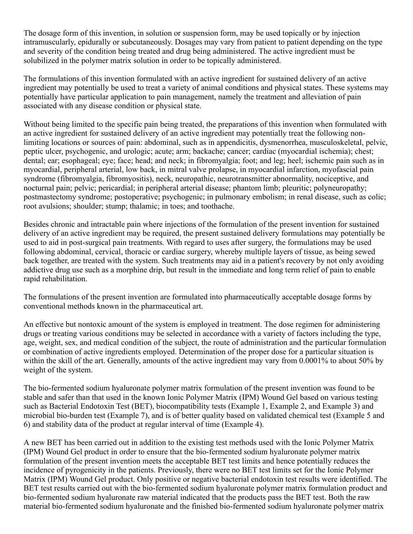The dosage form of this invention, in solution or suspension form, may be used topically or by injection intramuscularly, epidurally or subcutaneously. Dosages may vary from patient to patient depending on the type and severity of the condition being treated and drug being administered. The active ingredient must be solubilized in the polymer matrix solution in order to be topically administered.

The formulations of this invention formulated with an active ingredient for sustained delivery of an active ingredient may potentially be used to treat a variety of animal conditions and physical states. These systems may potentially have particular application to pain management, namely the treatment and alleviation of pain associated with any disease condition or physical state.

Without being limited to the specific pain being treated, the preparations of this invention when formulated with an active ingredient for sustained delivery of an active ingredient may potentially treat the following nonlimiting locations or sources of pain: abdominal, such as in appendicitis, dysmenorrhea, musculoskeletal, pelvic, peptic ulcer, psychogenic, and urologic; acute; arm; backache; cancer; cardiac (myocardial ischemia); chest; dental; ear; esophageal; eye; face; head; and neck; in fibromyalgia; foot; and leg; heel; ischemic pain such as in myocardial, peripheral arterial, low back, in mitral valve prolapse, in myocardial infarction, myofascial pain syndrome (fibromyalgia, fibromyositis), neck, neuropathic, neurotransmitter abnormality, nociceptive, and nocturnal pain; pelvic; pericardial; in peripheral arterial disease; phantom limb; pleuritic; polyneuropathy; postmastectomy syndrome; postoperative; psychogenic; in pulmonary embolism; in renal disease, such as colic; root avulsions; shoulder; stump; thalamic; in toes; and toothache.

Besides chronic and intractable pain where injections of the formulation of the present invention for sustained delivery of an active ingredient may be required, the present sustained delivery formulations may potentially be used to aid in post-surgical pain treatments. With regard to uses after surgery, the formulations may be used following abdominal, cervical, thoracic or cardiac surgery, whereby multiple layers of tissue, as being sewed back together, are treated with the system. Such treatments may aid in a patient's recovery by not only avoiding addictive drug use such as a morphine drip, but result in the immediate and long term relief of pain to enable rapid rehabilitation.

The formulations of the present invention are formulated into pharmaceutically acceptable dosage forms by conventional methods known in the pharmaceutical art.

An effective but nontoxic amount of the system is employed in treatment. The dose regimen for administering drugs or treating various conditions may be selected in accordance with a variety of factors including the type, age, weight, sex, and medical condition of the subject, the route of administration and the particular formulation or combination of active ingredients employed. Determination of the proper dose for a particular situation is within the skill of the art. Generally, amounts of the active ingredient may vary from 0.0001% to about 50% by weight of the system.

The bio-fermented sodium hyaluronate polymer matrix formulation of the present invention was found to be stable and safer than that used in the known Ionic Polymer Matrix (IPM) Wound Gel based on various testing such as Bacterial Endotoxin Test (BET), biocompatibility tests (Example 1, Example 2, and Example 3) and microbial bio-burden test (Example 7), and is of better quality based on validated chemical test (Example 5 and 6) and stability data of the product at regular interval of time (Example 4).

A new BET has been carried out in addition to the existing test methods used with the Ionic Polymer Matrix (IPM) Wound Gel product in order to ensure that the bio-fermented sodium hyaluronate polymer matrix formulation of the present invention meets the acceptable BET test limits and hence potentially reduces the incidence of pyrogenicity in the patients. Previously, there were no BET test limits set for the Ionic Polymer Matrix (IPM) Wound Gel product. Only positive or negative bacterial endotoxin test results were identified. The BET test results carried out with the bio-fermented sodium hyaluronate polymer matrix formulation product and bio-fermented sodium hyaluronate raw material indicated that the products pass the BET test. Both the raw material bio-fermented sodium hyaluronate and the finished bio-fermented sodium hyaluronate polymer matrix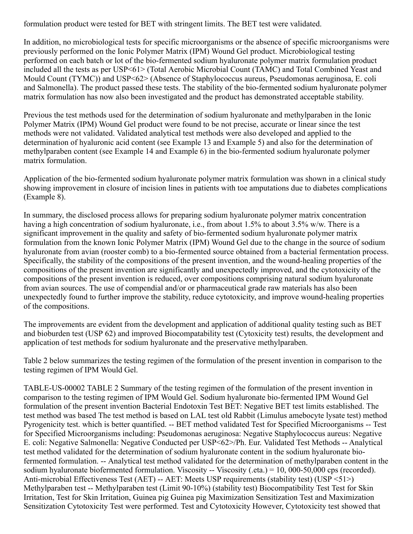formulation product were tested for BET with stringent limits. The BET test were validated.

In addition, no microbiological tests for specific microorganisms or the absence of specific microorganisms were previously performed on the Ionic Polymer Matrix (IPM) Wound Gel product. Microbiological testing performed on each batch or lot of the bio-fermented sodium hyaluronate polymer matrix formulation product included all the tests as per USP<61> (Total Aerobic Microbial Count (TAMC) and Total Combined Yeast and Mould Count (TYMC)) and USP<62> (Absence of Staphylococcus aureus, Pseudomonas aeruginosa, E. coli and Salmonella). The product passed these tests. The stability of the bio-fermented sodium hyaluronate polymer matrix formulation has now also been investigated and the product has demonstrated acceptable stability.

Previous the test methods used for the determination of sodium hyaluronate and methylparaben in the Ionic Polymer Matrix (IPM) Wound Gel product were found to be not precise, accurate or linear since the test methods were not validated. Validated analytical test methods were also developed and applied to the determination of hyaluronic acid content (see Example 13 and Example 5) and also for the determination of methylparaben content (see Example 14 and Example 6) in the bio-fermented sodium hyaluronate polymer matrix formulation.

Application of the bio-fermented sodium hyaluronate polymer matrix formulation was shown in a clinical study showing improvement in closure of incision lines in patients with toe amputations due to diabetes complications (Example 8).

In summary, the disclosed process allows for preparing sodium hyaluronate polymer matrix concentration having a high concentration of sodium hyaluronate, i.e., from about 1.5% to about 3.5% w/w. There is a significant improvement in the quality and safety of bio-fermented sodium hyaluronate polymer matrix formulation from the known Ionic Polymer Matrix (IPM) Wound Gel due to the change in the source of sodium hyaluronate from avian (rooster comb) to a bio-fermented source obtained from a bacterial fermentation process. Specifically, the stability of the compositions of the present invention, and the wound-healing properties of the compositions of the present invention are significantly and unexpectedly improved, and the cytotoxicity of the compositions of the present invention is reduced, over compositions comprising natural sodium hyaluronate from avian sources. The use of compendial and/or or pharmaceutical grade raw materials has also been unexpectedly found to further improve the stability, reduce cytotoxicity, and improve wound-healing properties of the compositions.

The improvements are evident from the development and application of additional quality testing such as BET and bioburden test (USP 62) and improved Biocompatability test (Cytoxicity test) results, the development and application of test methods for sodium hyaluronate and the preservative methylparaben.

Table 2 below summarizes the testing regimen of the formulation of the present invention in comparison to the testing regimen of IPM Would Gel.

TABLE-US-00002 TABLE 2 Summary of the testing regimen of the formulation of the present invention in comparison to the testing regimen of IPM Would Gel. Sodium hyaluronate bio-fermented IPM Wound Gel formulation of the present invention Bacterial Endotoxin Test BET: Negative BET test limits established. The test method was based The test method is based on LAL test old Rabbit (Limulus amebocyte lysate test) method Pyrogenicity test. which is better quantified. -- BET method validated Test for Specified Microorganisms -- Test for Specified Microorganisms including: Pseudomonas aeruginosa: Negative Staphylococcus aureus: Negative E. coli: Negative Salmonella: Negative Conducted per USP<62>/Ph. Eur. Validated Test Methods -- Analytical test method validated for the determination of sodium hyaluronate content in the sodium hyaluronate biofermented formulation. -- Analytical test method validated for the determination of methylparaben content in the sodium hyaluronate biofermented formulation. Viscosity -- Viscosity (.eta.) = 10, 000-50,000 cps (recorded). Anti-microbial Effectiveness Test (AET) -- AET: Meets USP requirements (stability test) (USP <51>) Methylparaben test -- Methylparaben test (Limit 90-10%) (stability test) Biocompatibility Test Test for Skin Irritation, Test for Skin Irritation, Guinea pig Guinea pig Maximization Sensitization Test and Maximization Sensitization Cytotoxicity Test were performed. Test and Cytotoxicity However, Cytotoxicity test showed that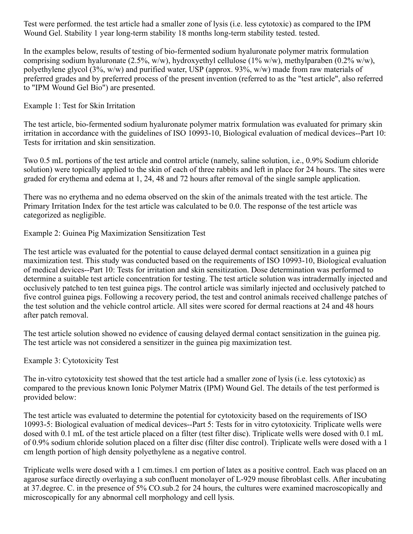Test were performed. the test article had a smaller zone of lysis (i.e. less cytotoxic) as compared to the IPM Wound Gel. Stability 1 year long-term stability 18 months long-term stability tested. tested.

In the examples below, results of testing of bio-fermented sodium hyaluronate polymer matrix formulation comprising sodium hyaluronate (2.5%, w/w), hydroxyethyl cellulose (1% w/w), methylparaben (0.2% w/w), polyethylene glycol (3%, w/w) and purified water, USP (approx. 93%, w/w) made from raw materials of preferred grades and by preferred process of the present invention (referred to as the "test article", also referred to "IPM Wound Gel Bio") are presented.

#### Example 1: Test for Skin Irritation

The test article, bio-fermented sodium hyaluronate polymer matrix formulation was evaluated for primary skin irritation in accordance with the guidelines of ISO 10993-10, Biological evaluation of medical devices--Part 10: Tests for irritation and skin sensitization.

Two 0.5 mL portions of the test article and control article (namely, saline solution, i.e., 0.9% Sodium chloride solution) were topically applied to the skin of each of three rabbits and left in place for 24 hours. The sites were graded for erythema and edema at 1, 24, 48 and 72 hours after removal of the single sample application.

There was no erythema and no edema observed on the skin of the animals treated with the test article. The Primary Irritation Index for the test article was calculated to be 0.0. The response of the test article was categorized as negligible.

Example 2: Guinea Pig Maximization Sensitization Test

The test article was evaluated for the potential to cause delayed dermal contact sensitization in a guinea pig maximization test. This study was conducted based on the requirements of ISO 10993-10, Biological evaluation of medical devices--Part 10: Tests for irritation and skin sensitization. Dose determination was performed to determine a suitable test article concentration for testing. The test article solution was intradermally injected and occlusively patched to ten test guinea pigs. The control article was similarly injected and occlusively patched to five control guinea pigs. Following a recovery period, the test and control animals received challenge patches of the test solution and the vehicle control article. All sites were scored for dermal reactions at 24 and 48 hours after patch removal.

The test article solution showed no evidence of causing delayed dermal contact sensitization in the guinea pig. The test article was not considered a sensitizer in the guinea pig maximization test.

Example 3: Cytotoxicity Test

The in-vitro cytotoxicity test showed that the test article had a smaller zone of lysis (i.e. less cytotoxic) as compared to the previous known Ionic Polymer Matrix (IPM) Wound Gel. The details of the test performed is provided below:

The test article was evaluated to determine the potential for cytotoxicity based on the requirements of ISO 10993-5: Biological evaluation of medical devices--Part 5: Tests for in vitro cytotoxicity. Triplicate wells were dosed with 0.1 mL of the test article placed on a filter (test filter disc). Triplicate wells were dosed with 0.1 mL of 0.9% sodium chloride solution placed on a filter disc (filter disc control). Triplicate wells were dosed with a 1 cm length portion of high density polyethylene as a negative control.

Triplicate wells were dosed with a 1 cm.times.1 cm portion of latex as a positive control. Each was placed on an agarose surface directly overlaying a sub confluent monolayer of L-929 mouse fibroblast cells. After incubating at 37.degree. C. in the presence of 5% CO.sub.2 for 24 hours, the cultures were examined macroscopically and microscopically for any abnormal cell morphology and cell lysis.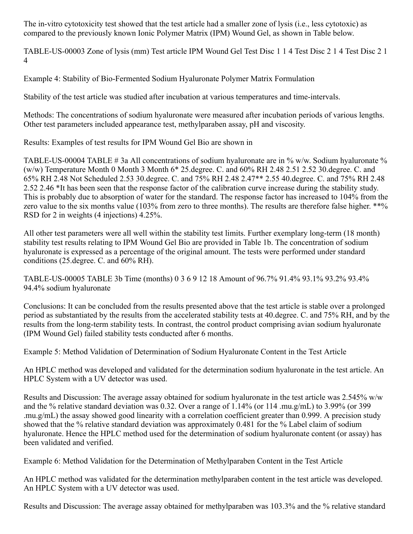The in-vitro cytotoxicity test showed that the test article had a smaller zone of lysis (i.e., less cytotoxic) as compared to the previously known Ionic Polymer Matrix (IPM) Wound Gel, as shown in Table below.

TABLE-US-00003 Zone of lysis (mm) Test article IPM Wound Gel Test Disc 1 1 4 Test Disc 2 1 4 Test Disc 2 1 4

Example 4: Stability of Bio-Fermented Sodium Hyaluronate Polymer Matrix Formulation

Stability of the test article was studied after incubation at various temperatures and time-intervals.

Methods: The concentrations of sodium hyaluronate were measured after incubation periods of various lengths. Other test parameters included appearance test, methylparaben assay, pH and viscosity.

Results: Examples of test results for IPM Wound Gel Bio are shown in

TABLE-US-00004 TABLE # 3a All concentrations of sodium hyaluronate are in % w/w. Sodium hyaluronate % (w/w) Temperature Month 0 Month 3 Month 6\* 25.degree. C. and 60% RH 2.48 2.51 2.52 30.degree. C. and 65% RH 2.48 Not Scheduled 2.53 30.degree. C. and 75% RH 2.48 2.47\*\* 2.55 40.degree. C. and 75% RH 2.48 2.52 2.46 \*It has been seen that the response factor of the calibration curve increase during the stability study. This is probably due to absorption of water for the standard. The response factor has increased to 104% from the zero value to the six months value (103% from zero to three months). The results are therefore false higher. \*\*% RSD for 2 in weights (4 injections) 4.25%.

All other test parameters were all well within the stability test limits. Further exemplary long-term (18 month) stability test results relating to IPM Wound Gel Bio are provided in Table 1b. The concentration of sodium hyaluronate is expressed as a percentage of the original amount. The tests were performed under standard conditions (25.degree. C. and 60% RH).

TABLE-US-00005 TABLE 3b Time (months) 0 3 6 9 12 18 Amount of 96.7% 91.4% 93.1% 93.2% 93.4% 94.4% sodium hyaluronate

Conclusions: It can be concluded from the results presented above that the test article is stable over a prolonged period as substantiated by the results from the accelerated stability tests at 40.degree. C. and 75% RH, and by the results from the long-term stability tests. In contrast, the control product comprising avian sodium hyaluronate (IPM Wound Gel) failed stability tests conducted after 6 months.

Example 5: Method Validation of Determination of Sodium Hyaluronate Content in the Test Article

An HPLC method was developed and validated for the determination sodium hyaluronate in the test article. An HPLC System with a UV detector was used.

Results and Discussion: The average assay obtained for sodium hyaluronate in the test article was 2.545% w/w and the % relative standard deviation was 0.32. Over a range of 1.14% (or 114 .mu.g/mL) to 3.99% (or 399 .mu.g/mL) the assay showed good linearity with a correlation coefficient greater than 0.999. A precision study showed that the % relative standard deviation was approximately 0.481 for the % Label claim of sodium hyaluronate. Hence the HPLC method used for the determination of sodium hyaluronate content (or assay) has been validated and verified.

Example 6: Method Validation for the Determination of Methylparaben Content in the Test Article

An HPLC method was validated for the determination methylparaben content in the test article was developed. An HPLC System with a UV detector was used.

Results and Discussion: The average assay obtained for methylparaben was 103.3% and the % relative standard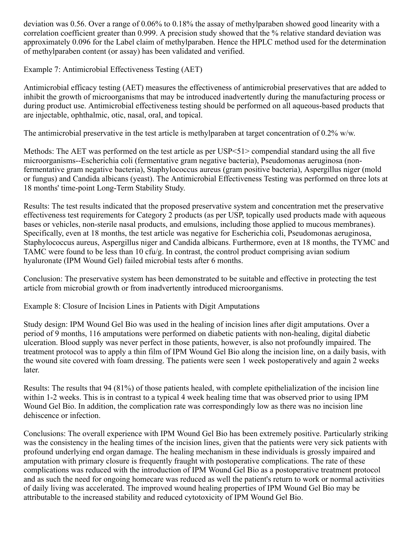deviation was 0.56. Over a range of 0.06% to 0.18% the assay of methylparaben showed good linearity with a correlation coefficient greater than 0.999. A precision study showed that the % relative standard deviation was approximately 0.096 for the Label claim of methylparaben. Hence the HPLC method used for the determination of methylparaben content (or assay) has been validated and verified.

Example 7: Antimicrobial Effectiveness Testing (AET)

Antimicrobial efficacy testing (AET) measures the effectiveness of antimicrobial preservatives that are added to inhibit the growth of microorganisms that may be introduced inadvertently during the manufacturing process or during product use. Antimicrobial effectiveness testing should be performed on all aqueous-based products that are injectable, ophthalmic, otic, nasal, oral, and topical.

The antimicrobial preservative in the test article is methylparaben at target concentration of 0.2% w/w.

Methods: The AET was performed on the test article as per USP<51> compendial standard using the all five microorganisms--Escherichia coli (fermentative gram negative bacteria), Pseudomonas aeruginosa (nonfermentative gram negative bacteria), Staphylococcus aureus (gram positive bacteria), Aspergillus niger (mold or fungus) and Candida albicans (yeast). The Antimicrobial Effectiveness Testing was performed on three lots at 18 months' time-point Long-Term Stability Study.

Results: The test results indicated that the proposed preservative system and concentration met the preservative effectiveness test requirements for Category 2 products (as per USP, topically used products made with aqueous bases or vehicles, non-sterile nasal products, and emulsions, including those applied to mucous membranes). Specifically, even at 18 months, the test article was negative for Escherichia coli, Pseudomonas aeruginosa, Staphylococcus aureus, Aspergillus niger and Candida albicans. Furthermore, even at 18 months, the TYMC and TAMC were found to be less than 10 cfu/g. In contrast, the control product comprising avian sodium hyaluronate (IPM Wound Gel) failed microbial tests after 6 months.

Conclusion: The preservative system has been demonstrated to be suitable and effective in protecting the test article from microbial growth or from inadvertently introduced microorganisms.

Example 8: Closure of Incision Lines in Patients with Digit Amputations

Study design: IPM Wound Gel Bio was used in the healing of incision lines after digit amputations. Over a period of 9 months, 116 amputations were performed on diabetic patients with non-healing, digital diabetic ulceration. Blood supply was never perfect in those patients, however, is also not profoundly impaired. The treatment protocol was to apply a thin film of IPM Wound Gel Bio along the incision line, on a daily basis, with the wound site covered with foam dressing. The patients were seen 1 week postoperatively and again 2 weeks later.

Results: The results that 94 (81%) of those patients healed, with complete epithelialization of the incision line within 1-2 weeks. This is in contrast to a typical 4 week healing time that was observed prior to using IPM Wound Gel Bio. In addition, the complication rate was correspondingly low as there was no incision line dehiscence or infection.

Conclusions: The overall experience with IPM Wound Gel Bio has been extremely positive. Particularly striking was the consistency in the healing times of the incision lines, given that the patients were very sick patients with profound underlying end organ damage. The healing mechanism in these individuals is grossly impaired and amputation with primary closure is frequently fraught with postoperative complications. The rate of these complications was reduced with the introduction of IPM Wound Gel Bio as a postoperative treatment protocol and as such the need for ongoing homecare was reduced as well the patient's return to work or normal activities of daily living was accelerated. The improved wound healing properties of IPM Wound Gel Bio may be attributable to the increased stability and reduced cytotoxicity of IPM Wound Gel Bio.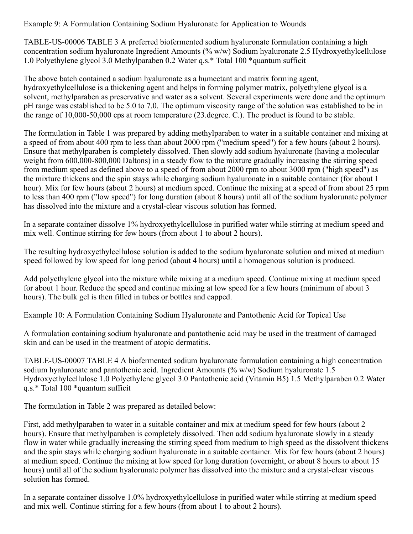Example 9: A Formulation Containing Sodium Hyaluronate for Application to Wounds

TABLE-US-00006 TABLE 3 A preferred biofermented sodium hyaluronate formulation containing a high concentration sodium hyaluronate Ingredient Amounts (% w/w) Sodium hyaluronate 2.5 Hydroxyethylcellulose 1.0 Polyethylene glycol 3.0 Methylparaben 0.2 Water q.s.\* Total 100 \*quantum sufficit

The above batch contained a sodium hyaluronate as a humectant and matrix forming agent, hydroxyethylcellulose is a thickening agent and helps in forming polymer matrix, polyethylene glycol is a solvent, methylparaben as preservative and water as a solvent. Several experiments were done and the optimum pH range was established to be 5.0 to 7.0. The optimum viscosity range of the solution was established to be in the range of 10,000-50,000 cps at room temperature (23.degree. C.). The product is found to be stable.

The formulation in Table 1 was prepared by adding methylparaben to water in a suitable container and mixing at a speed of from about 400 rpm to less than about 2000 rpm ("medium speed") for a few hours (about 2 hours). Ensure that methylparaben is completely dissolved. Then slowly add sodium hyaluronate (having a molecular weight from 600,000-800,000 Daltons) in a steady flow to the mixture gradually increasing the stirring speed from medium speed as defined above to a speed of from about 2000 rpm to about 3000 rpm ("high speed") as the mixture thickens and the spin stays while charging sodium hyaluronate in a suitable container (for about 1 hour). Mix for few hours (about 2 hours) at medium speed. Continue the mixing at a speed of from about 25 rpm to less than 400 rpm ("low speed") for long duration (about 8 hours) until all of the sodium hyalorunate polymer has dissolved into the mixture and a crystal-clear viscous solution has formed.

In a separate container dissolve 1% hydroxyethylcellulose in purified water while stirring at medium speed and mix well. Continue stirring for few hours (from about 1 to about 2 hours).

The resulting hydroxyethylcellulose solution is added to the sodium hyaluronate solution and mixed at medium speed followed by low speed for long period (about 4 hours) until a homogenous solution is produced.

Add polyethylene glycol into the mixture while mixing at a medium speed. Continue mixing at medium speed for about 1 hour. Reduce the speed and continue mixing at low speed for a few hours (minimum of about 3 hours). The bulk gel is then filled in tubes or bottles and capped.

Example 10: A Formulation Containing Sodium Hyaluronate and Pantothenic Acid for Topical Use

A formulation containing sodium hyaluronate and pantothenic acid may be used in the treatment of damaged skin and can be used in the treatment of atopic dermatitis.

TABLE-US-00007 TABLE 4 A biofermented sodium hyaluronate formulation containing a high concentration sodium hyaluronate and pantothenic acid. Ingredient Amounts (%  $w/w$ ) Sodium hyaluronate 1.5 Hydroxyethylcellulose 1.0 Polyethylene glycol 3.0 Pantothenic acid (Vitamin B5) 1.5 Methylparaben 0.2 Water q.s.\* Total 100 \*quantum sufficit

The formulation in Table 2 was prepared as detailed below:

First, add methylparaben to water in a suitable container and mix at medium speed for few hours (about 2 hours). Ensure that methylparaben is completely dissolved. Then add sodium hyaluronate slowly in a steady flow in water while gradually increasing the stirring speed from medium to high speed as the dissolvent thickens and the spin stays while charging sodium hyaluronate in a suitable container. Mix for few hours (about 2 hours) at medium speed. Continue the mixing at low speed for long duration (overnight, or about 8 hours to about 15 hours) until all of the sodium hyalorunate polymer has dissolved into the mixture and a crystal-clear viscous solution has formed.

In a separate container dissolve 1.0% hydroxyethylcellulose in purified water while stirring at medium speed and mix well. Continue stirring for a few hours (from about 1 to about 2 hours).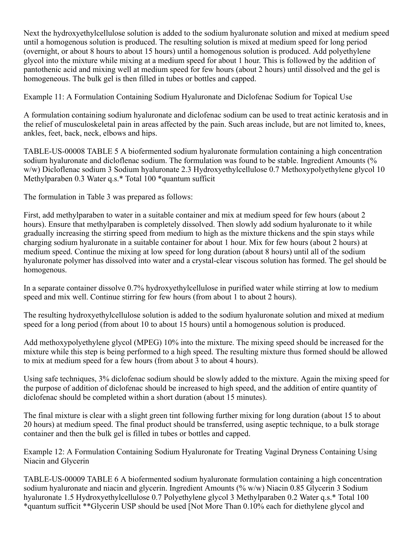Next the hydroxyethylcellulose solution is added to the sodium hyaluronate solution and mixed at medium speed until a homogenous solution is produced. The resulting solution is mixed at medium speed for long period (overnight, or about 8 hours to about 15 hours) until a homogenous solution is produced. Add polyethylene glycol into the mixture while mixing at a medium speed for about 1 hour. This is followed by the addition of pantothenic acid and mixing well at medium speed for few hours (about 2 hours) until dissolved and the gel is homogeneous. The bulk gel is then filled in tubes or bottles and capped.

Example 11: A Formulation Containing Sodium Hyaluronate and Diclofenac Sodium for Topical Use

A formulation containing sodium hyaluronate and diclofenac sodium can be used to treat actinic keratosis and in the relief of musculoskeletal pain in areas affected by the pain. Such areas include, but are not limited to, knees, ankles, feet, back, neck, elbows and hips.

TABLE-US-00008 TABLE 5 A biofermented sodium hyaluronate formulation containing a high concentration sodium hyaluronate and dicloflenac sodium. The formulation was found to be stable. Ingredient Amounts (% w/w) Dicloflenac sodium 3 Sodium hyaluronate 2.3 Hydroxyethylcellulose 0.7 Methoxypolyethylene glycol 10 Methylparaben 0.3 Water q.s.\* Total 100 \*quantum sufficit

The formulation in Table 3 was prepared as follows:

First, add methylparaben to water in a suitable container and mix at medium speed for few hours (about 2 hours). Ensure that methylparaben is completely dissolved. Then slowly add sodium hyaluronate to it while gradually increasing the stirring speed from medium to high as the mixture thickens and the spin stays while charging sodium hyaluronate in a suitable container for about 1 hour. Mix for few hours (about 2 hours) at medium speed. Continue the mixing at low speed for long duration (about 8 hours) until all of the sodium hyaluronate polymer has dissolved into water and a crystal-clear viscous solution has formed. The gel should be homogenous.

In a separate container dissolve 0.7% hydroxyethylcellulose in purified water while stirring at low to medium speed and mix well. Continue stirring for few hours (from about 1 to about 2 hours).

The resulting hydroxyethylcellulose solution is added to the sodium hyaluronate solution and mixed at medium speed for a long period (from about 10 to about 15 hours) until a homogenous solution is produced.

Add methoxypolyethylene glycol (MPEG) 10% into the mixture. The mixing speed should be increased for the mixture while this step is being performed to a high speed. The resulting mixture thus formed should be allowed to mix at medium speed for a few hours (from about 3 to about 4 hours).

Using safe techniques, 3% diclofenac sodium should be slowly added to the mixture. Again the mixing speed for the purpose of addition of diclofenac should be increased to high speed, and the addition of entire quantity of diclofenac should be completed within a short duration (about 15 minutes).

The final mixture is clear with a slight green tint following further mixing for long duration (about 15 to about 20 hours) at medium speed. The final product should be transferred, using aseptic technique, to a bulk storage container and then the bulk gel is filled in tubes or bottles and capped.

Example 12: A Formulation Containing Sodium Hyaluronate for Treating Vaginal Dryness Containing Using Niacin and Glycerin

TABLE-US-00009 TABLE 6 A biofermented sodium hyaluronate formulation containing a high concentration sodium hyaluronate and niacin and glycerin. Ingredient Amounts (% w/w) Niacin 0.85 Glycerin 3 Sodium hyaluronate 1.5 Hydroxyethylcellulose 0.7 Polyethylene glycol 3 Methylparaben 0.2 Water q.s.\* Total 100 \*quantum sufficit \*\*Glycerin USP should be used [Not More Than 0.10% each for diethylene glycol and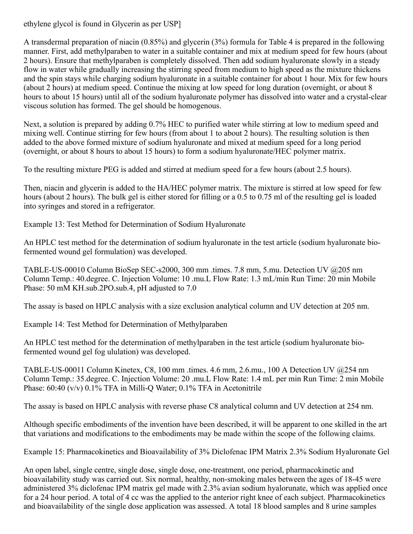ethylene glycol is found in Glycerin as per USP]

A transdermal preparation of niacin (0.85%) and glycerin (3%) formula for Table 4 is prepared in the following manner. First, add methylparaben to water in a suitable container and mix at medium speed for few hours (about 2 hours). Ensure that methylparaben is completely dissolved. Then add sodium hyaluronate slowly in a steady flow in water while gradually increasing the stirring speed from medium to high speed as the mixture thickens and the spin stays while charging sodium hyaluronate in a suitable container for about 1 hour. Mix for few hours (about 2 hours) at medium speed. Continue the mixing at low speed for long duration (overnight, or about 8 hours to about 15 hours) until all of the sodium hyaluronate polymer has dissolved into water and a crystal-clear viscous solution has formed. The gel should be homogenous.

Next, a solution is prepared by adding 0.7% HEC to purified water while stirring at low to medium speed and mixing well. Continue stirring for few hours (from about 1 to about 2 hours). The resulting solution is then added to the above formed mixture of sodium hyaluronate and mixed at medium speed for a long period (overnight, or about 8 hours to about 15 hours) to form a sodium hyaluronate/HEC polymer matrix.

To the resulting mixture PEG is added and stirred at medium speed for a few hours (about 2.5 hours).

Then, niacin and glycerin is added to the HA/HEC polymer matrix. The mixture is stirred at low speed for few hours (about 2 hours). The bulk gel is either stored for filling or a 0.5 to 0.75 ml of the resulting gel is loaded into syringes and stored in a refrigerator.

Example 13: Test Method for Determination of Sodium Hyaluronate

An HPLC test method for the determination of sodium hyaluronate in the test article (sodium hyaluronate biofermented wound gel formulation) was developed.

TABLE-US-00010 Column BioSep SEC-s2000, 300 mm .times. 7.8 mm, 5.mu. Detection UV @205 nm Column Temp.: 40.degree. C. Injection Volume: 10 .mu.L Flow Rate: 1.3 mL/min Run Time: 20 min Mobile Phase: 50 mM KH.sub.2PO.sub.4, pH adjusted to 7.0

The assay is based on HPLC analysis with a size exclusion analytical column and UV detection at 205 nm.

Example 14: Test Method for Determination of Methylparaben

An HPLC test method for the determination of methylparaben in the test article (sodium hyaluronate biofermented wound gel fog ululation) was developed.

TABLE-US-00011 Column Kinetex, C8, 100 mm .times. 4.6 mm, 2.6.mu., 100 A Detection UV @254 nm Column Temp.: 35.degree. C. Injection Volume: 20 .mu.L Flow Rate: 1.4 mL per min Run Time: 2 min Mobile Phase: 60:40 (v/v) 0.1% TFA in Milli-Q Water; 0.1% TFA in Acetonitrile

The assay is based on HPLC analysis with reverse phase C8 analytical column and UV detection at 254 nm.

Although specific embodiments of the invention have been described, it will be apparent to one skilled in the art that variations and modifications to the embodiments may be made within the scope of the following claims.

Example 15: Pharmacokinetics and Bioavailability of 3% Diclofenac IPM Matrix 2.3% Sodium Hyaluronate Gel

An open label, single centre, single dose, single dose, one-treatment, one period, pharmacokinetic and bioavailability study was carried out. Six normal, healthy, non-smoking males between the ages of 18-45 were administered 3% diclofenac IPM matrix gel made with 2.3% avian sodium hyalorunate, which was applied once for a 24 hour period. A total of 4 cc was the applied to the anterior right knee of each subject. Pharmacokinetics and bioavailability of the single dose application was assessed. A total 18 blood samples and 8 urine samples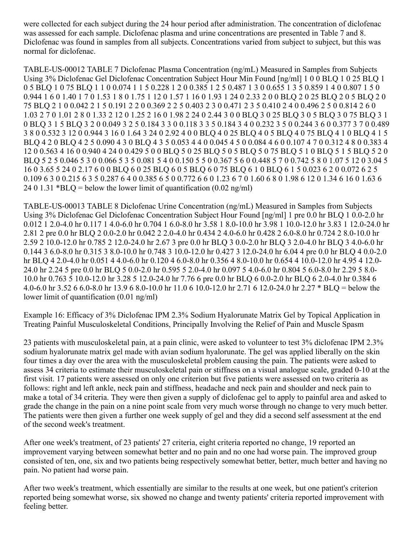were collected for each subject during the 24 hour period after administration. The concentration of diclofenac was assessed for each sample. Diclofenac plasma and urine concentrations are presented in Table 7 and 8. Diclofenac was found in samples from all subjects. Concentrations varied from subject to subject, but this was normal for diclofenac.

TABLE-US-00012 TABLE 7 Diclofenac Plasma Concentration (ng/mL) Measured in Samples from Subjects Using 3% Diclofenac Gel Diclofenac Concentration Subject Hour Min Found [ng/ml] 1 0 0 BLQ 1 0 25 BLQ 1 0 5 BLQ 1 0 75 BLQ 1 1 0 0.074 1 1 5 0.228 1 2 0 0.385 1 2 5 0.487 1 3 0 0.655 1 3 5 0.859 1 4 0 0.807 1 5 0 0.944 1 6 0 1.40 1 7 0 1.53 1 8 0 1.75 1 12 0 1.57 1 16 0 1.93 1 24 0 2.33 2 0 0 BLQ 2 0 25 BLQ 2 0 5 BLQ 2 0 75 BLQ 2 1 0 0.042 2 1 5 0.191 2 2 0 0.369 2 2 5 0.403 2 3 0 0.471 2 3 5 0.410 2 4 0 0.496 2 5 0 0.814 2 6 0 1.03 2 7 0 1.01 2 8 0 1.33 2 12 0 1.25 2 16 0 1.98 2 24 0 2.44 3 0 0 BLQ 3 0 25 BLQ 3 0 5 BLQ 3 0 75 BLQ 3 1 0 BLQ 3 1 5 BLQ 3 2 0 0.049 3 2 5 0.184 3 3 0 0.118 3 3 5 0.184 3 4 0 0.232 3 5 0 0.244 3 6 0 0.377 3 7 0 0.489 3 8 0 0.532 3 12 0 0.944 3 16 0 1.64 3 24 0 2.92 4 0 0 BLQ 4 0 25 BLQ 4 0 5 BLQ 4 0 75 BLQ 4 1 0 BLQ 4 1 5 BLQ 4 2 0 BLQ 4 2 5 0.090 4 3 0 BLQ 4 3 5 0.053 4 4 0 0.045 4 5 0 0.084 4 6 0 0.107 4 7 0 0.312 4 8 0 0.383 4 12 0 0.563 4 16 0 0.940 4 24 0 0.429 5 0 0 BLQ 5 0 25 BLQ 5 0 5 BLQ 5 0 75 BLQ 5 1 0 BLQ 5 1 5 BLQ 5 2 0 BLQ 5 2 5 0.046 5 3 0 0.066 5 3 5 0.081 5 4 0 0.150 5 5 0 0.367 5 6 0 0.448 5 7 0 0.742 5 8 0 1.07 5 12 0 3.04 5 16 0 3.65 5 24 0 2.17 6 0 0 BLQ 6 0 25 BLQ 6 0 5 BLQ 6 0 75 BLQ 6 1 0 BLQ 6 1 5 0.023 6 2 0 0.072 6 2 5 0.109 6 3 0 0.215 6 3 5 0.287 6 4 0 0.385 6 5 0 0.772 6 6 0 1.23 6 7 0 1.60 6 8 0 1.98 6 12 0 1.34 6 16 0 1.63 6 24 0 1.31 \*BLQ = below the lower limit of quantification  $(0.02 \text{ ng/ml})$ 

TABLE-US-00013 TABLE 8 Diclofenac Urine Concentration (ng/mL) Measured in Samples from Subjects Using 3% Diclofenac Gel Diclofenac Concentration Subject Hour Found [ng/ml] 1 pre 0.0 hr BLQ 1 0.0-2.0 hr 0.012 1 2.0-4.0 hr 0.117 1 4.0-6.0 hr 0.704 1 6.0-8.0 hr 3.58 1 8.0-10.0 hr 3.98 1 10.0-12.0 hr 3.83 1 12.0-24.0 hr 2.81 2 pre 0.0 hr BLQ 2 0.0-2.0 hr 0.042 2 2.0-4.0 hr 0.434 2 4.0-6.0 hr 0.428 2 6.0-8.0 hr 0.724 2 8.0-10.0 hr 2.59 2 10.0-12.0 hr 0.785 2 12.0-24.0 hr 2.67 3 pre 0.0 hr BLQ 3 0.0-2.0 hr BLQ 3 2.0-4.0 hr BLQ 3 4.0-6.0 hr 0.144 3 6.0-8.0 hr 0.315 3 8.0-10.0 hr 0.748 3 10.0-12.0 hr 0.427 3 12.0-24.0 hr 6.04 4 pre 0.0 hr BLQ 4 0.0-2.0 hr BLQ 4 2.0-4.0 hr 0.051 4 4.0-6.0 hr 0.120 4 6.0-8.0 hr 0.356 4 8.0-10.0 hr 0.654 4 10.0-12.0 hr 4.95 4 12.0- 24.0 hr 2.24 5 pre 0.0 hr BLQ 5 0.0-2.0 hr 0.595 5 2.0-4.0 hr 0.097 5 4.0-6.0 hr 0.804 5 6.0-8.0 hr 2.29 5 8.0- 10.0 hr 0.763 5 10.0-12.0 hr 3.28 5 12.0-24.0 hr 7.76 6 pre 0.0 hr BLQ 6 0.0-2.0 hr BLQ 6 2.0-4.0 hr 0.384 6 4.0-6.0 hr 3.52 6 6.0-8.0 hr 13.9 6 8.0-10.0 hr 11.0 6 10.0-12.0 hr 2.71 6 12.0-24.0 hr 2.27 \* BLQ = below the lower limit of quantification (0.01 ng/ml)

Example 16: Efficacy of 3% Diclofenac IPM 2.3% Sodium Hyalorunate Matrix Gel by Topical Application in Treating Painful Musculoskeletal Conditions, Principally Involving the Relief of Pain and Muscle Spasm

23 patients with musculoskeletal pain, at a pain clinic, were asked to volunteer to test 3% diclofenac IPM 2.3% sodium hyalorunate matrix gel made with avian sodium hyalorunate. The gel was applied liberally on the skin four times a day over the area with the musculoskeletal problem causing the pain. The patients were asked to assess 34 criteria to estimate their musculoskeletal pain or stiffness on a visual analogue scale, graded 0-10 at the first visit. 17 patients were assessed on only one criterion but five patients were assessed on two criteria as follows: right and left ankle, neck pain and stiffness, headache and neck pain and shoulder and neck pain to make a total of 34 criteria. They were then given a supply of diclofenac gel to apply to painful area and asked to grade the change in the pain on a nine point scale from very much worse through no change to very much better. The patients were then given a further one week supply of gel and they did a second self assessment at the end of the second week's treatment.

After one week's treatment, of 23 patients' 27 criteria, eight criteria reported no change, 19 reported an improvement varying between somewhat better and no pain and no one had worse pain. The improved group consisted of ten, one, six and two patients being respectively somewhat better, better, much better and having no pain. No patient had worse pain.

After two week's treatment, which essentially are similar to the results at one week, but one patient's criterion reported being somewhat worse, six showed no change and twenty patients' criteria reported improvement with feeling better.